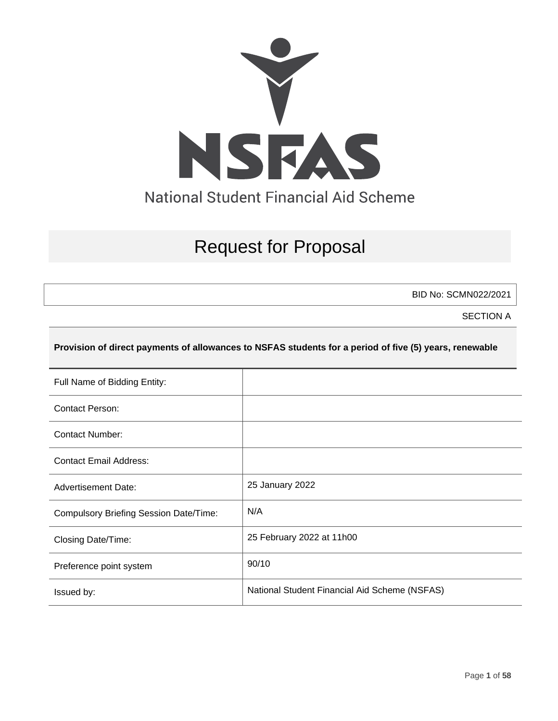

# Request for Proposal

BID No: SCMN022/2021

SECTION A

#### **Provision of direct payments of allowances to NSFAS students for a period of five (5) years, renewable**

| Full Name of Bidding Entity:                  |                                               |
|-----------------------------------------------|-----------------------------------------------|
| <b>Contact Person:</b>                        |                                               |
| Contact Number:                               |                                               |
| <b>Contact Email Address:</b>                 |                                               |
| <b>Advertisement Date:</b>                    | 25 January 2022                               |
| <b>Compulsory Briefing Session Date/Time:</b> | N/A                                           |
| Closing Date/Time:                            | 25 February 2022 at 11h00                     |
| Preference point system                       | 90/10                                         |
| Issued by:                                    | National Student Financial Aid Scheme (NSFAS) |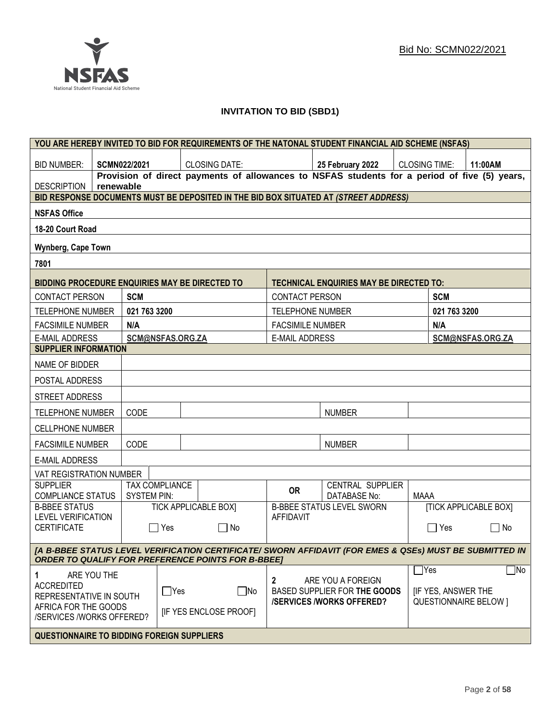

## **INVITATION TO BID (SBD1)**

|                                                                                                                                                                                    |                                                     |                                             |            | YOU ARE HEREBY INVITED TO BID FOR REQUIREMENTS OF THE NATONAL STUDENT FINANCIAL AID SCHEME (NSFAS) |                         |  |                                                |                      |              |                              |
|------------------------------------------------------------------------------------------------------------------------------------------------------------------------------------|-----------------------------------------------------|---------------------------------------------|------------|----------------------------------------------------------------------------------------------------|-------------------------|--|------------------------------------------------|----------------------|--------------|------------------------------|
| <b>BID NUMBER:</b>                                                                                                                                                                 |                                                     | <b>SCMN022/2021</b>                         |            | <b>CLOSING DATE:</b>                                                                               |                         |  | 25 February 2022                               | <b>CLOSING TIME:</b> |              | 11:00AM                      |
| <b>DESCRIPTION</b>                                                                                                                                                                 | renewable                                           |                                             |            | Provision of direct payments of allowances to NSFAS students for a period of five (5) years,       |                         |  |                                                |                      |              |                              |
|                                                                                                                                                                                    |                                                     |                                             |            | BID RESPONSE DOCUMENTS MUST BE DEPOSITED IN THE BID BOX SITUATED AT (STREET ADDRESS)               |                         |  |                                                |                      |              |                              |
| <b>NSFAS Office</b>                                                                                                                                                                |                                                     |                                             |            |                                                                                                    |                         |  |                                                |                      |              |                              |
| 18-20 Court Road                                                                                                                                                                   |                                                     |                                             |            |                                                                                                    |                         |  |                                                |                      |              |                              |
| Wynberg, Cape Town                                                                                                                                                                 |                                                     |                                             |            |                                                                                                    |                         |  |                                                |                      |              |                              |
| 7801                                                                                                                                                                               |                                                     |                                             |            |                                                                                                    |                         |  |                                                |                      |              |                              |
| BIDDING PROCEDURE ENQUIRIES MAY BE DIRECTED TO                                                                                                                                     |                                                     |                                             |            |                                                                                                    |                         |  | <b>TECHNICAL ENQUIRIES MAY BE DIRECTED TO:</b> |                      |              |                              |
| <b>CONTACT PERSON</b>                                                                                                                                                              |                                                     | <b>SCM</b>                                  |            |                                                                                                    | <b>CONTACT PERSON</b>   |  |                                                |                      | <b>SCM</b>   |                              |
| TELEPHONE NUMBER                                                                                                                                                                   |                                                     | 021 763 3200                                |            |                                                                                                    | <b>TELEPHONE NUMBER</b> |  |                                                |                      | 021 763 3200 |                              |
| <b>FACSIMILE NUMBER</b>                                                                                                                                                            |                                                     | N/A                                         |            |                                                                                                    | <b>FACSIMILE NUMBER</b> |  |                                                |                      | N/A          |                              |
| <b>E-MAIL ADDRESS</b>                                                                                                                                                              |                                                     | SCM@NSFAS.ORG.ZA                            |            |                                                                                                    | <b>E-MAIL ADDRESS</b>   |  |                                                |                      |              | SCM@NSFAS.ORG.ZA             |
| <b>SUPPLIER INFORMATION</b>                                                                                                                                                        |                                                     |                                             |            |                                                                                                    |                         |  |                                                |                      |              |                              |
| NAME OF BIDDER                                                                                                                                                                     |                                                     |                                             |            |                                                                                                    |                         |  |                                                |                      |              |                              |
| POSTAL ADDRESS                                                                                                                                                                     |                                                     |                                             |            |                                                                                                    |                         |  |                                                |                      |              |                              |
| STREET ADDRESS                                                                                                                                                                     |                                                     |                                             |            |                                                                                                    |                         |  |                                                |                      |              |                              |
| <b>TELEPHONE NUMBER</b>                                                                                                                                                            |                                                     | CODE                                        |            |                                                                                                    |                         |  | <b>NUMBER</b>                                  |                      |              |                              |
| <b>CELLPHONE NUMBER</b>                                                                                                                                                            |                                                     |                                             |            |                                                                                                    |                         |  |                                                |                      |              |                              |
| <b>FACSIMILE NUMBER</b>                                                                                                                                                            |                                                     | CODE                                        |            |                                                                                                    |                         |  | <b>NUMBER</b>                                  |                      |              |                              |
| <b>E-MAIL ADDRESS</b>                                                                                                                                                              |                                                     |                                             |            |                                                                                                    |                         |  |                                                |                      |              |                              |
| VAT REGISTRATION NUMBER                                                                                                                                                            |                                                     |                                             |            |                                                                                                    |                         |  |                                                |                      |              |                              |
| <b>SUPPLIER</b><br><b>COMPLIANCE STATUS</b>                                                                                                                                        |                                                     | <b>TAX COMPLIANCE</b><br><b>SYSTEM PIN:</b> |            |                                                                                                    | <b>OR</b>               |  | CENTRAL SUPPLIER<br><b>DATABASE No:</b>        | <b>MAAA</b>          |              |                              |
| <b>B-BBEE STATUS</b><br><b>LEVEL VERIFICATION</b>                                                                                                                                  |                                                     |                                             |            | <b>TICK APPLICABLE BOXI</b>                                                                        | <b>AFFIDAVIT</b>        |  | <b>B-BBEE STATUS LEVEL SWORN</b>               |                      |              | <b>[TICK APPLICABLE BOX]</b> |
| <b>CERTIFICATE</b>                                                                                                                                                                 |                                                     |                                             | $\Box$ Yes | $\Box$ No                                                                                          |                         |  |                                                |                      | □ Yes        | $\Box$ No                    |
| [A B-BBEE STATUS LEVEL VERIFICATION CERTIFICATE/ SWORN AFFIDAVIT (FOR EMES & QSEs) MUST BE SUBMITTED IN<br><b>ORDER TO QUALIFY FOR PREFERENCE POINTS FOR B-BBEET</b>               |                                                     |                                             |            |                                                                                                    |                         |  |                                                |                      |              |                              |
| 1<br>ARE YOU THE<br><b>ACCREDITED</b>                                                                                                                                              |                                                     |                                             |            |                                                                                                    | $\overline{2}$          |  | ARE YOU A FOREIGN                              | $\Box$ Yes           |              | $\Box$ No                    |
| $\Box$ Yes<br>$\Box$ No<br>BASED SUPPLIER FOR THE GOODS<br><b>IF YES, ANSWER THE</b><br>REPRESENTATIVE IN SOUTH<br><b>QUESTIONNAIRE BELOW 1</b><br><b>/SERVICES/WORKS OFFERED?</b> |                                                     |                                             |            |                                                                                                    |                         |  |                                                |                      |              |                              |
| AFRICA FOR THE GOODS                                                                                                                                                               | [IF YES ENCLOSE PROOF]<br>/SERVICES /WORKS OFFERED? |                                             |            |                                                                                                    |                         |  |                                                |                      |              |                              |
|                                                                                                                                                                                    | <b>QUESTIONNAIRE TO BIDDING FOREIGN SUPPLIERS</b>   |                                             |            |                                                                                                    |                         |  |                                                |                      |              |                              |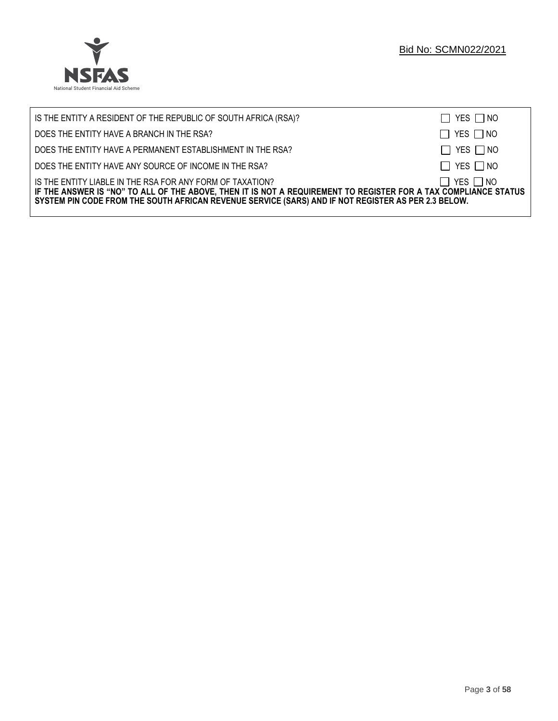

| IS THE ENTITY A RESIDENT OF THE REPUBLIC OF SOUTH AFRICA (RSA)?                                                                                                                                                                                                                     | $\Box$ YES $\Box$ NO |
|-------------------------------------------------------------------------------------------------------------------------------------------------------------------------------------------------------------------------------------------------------------------------------------|----------------------|
| DOES THE ENTITY HAVE A BRANCH IN THE RSA?                                                                                                                                                                                                                                           | $\Box$ YES $\Box$ NO |
| DOES THE ENTITY HAVE A PERMANENT ESTABLISHMENT IN THE RSA?                                                                                                                                                                                                                          | $\Box$ YES $\Box$ NO |
| DOES THE ENTITY HAVE ANY SOURCE OF INCOME IN THE RSA?                                                                                                                                                                                                                               | $\Box$ YES $\Box$ NO |
| IS THE ENTITY LIABLE IN THE RSA FOR ANY FORM OF TAXATION?<br>IF THE ANSWER IS "NO" TO ALL OF THE ABOVE, THEN IT IS NOT A REQUIREMENT TO REGISTER FOR A TAX COMPLIANCE STATUS<br>SYSTEM PIN CODE FROM THE SOUTH AFRICAN REVENUE SERVICE (SARS) AND IF NOT REGISTER AS PER 2.3 BELOW. | $\Box$ YES $\Box$ NO |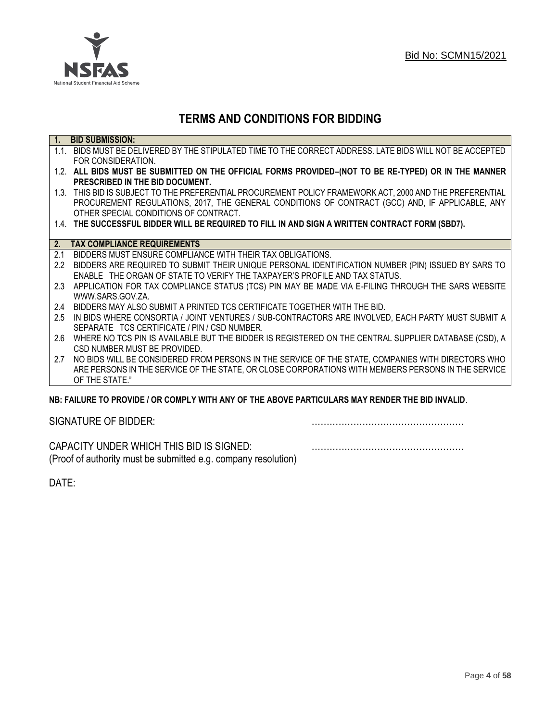

## **TERMS AND CONDITIONS FOR BIDDING**

| $\overline{1}$ . | <b>BID SUBMISSION:</b>                                                                                    |
|------------------|-----------------------------------------------------------------------------------------------------------|
|                  | 1.1. BIDS MUST BE DELIVERED BY THE STIPULATED TIME TO THE CORRECT ADDRESS. LATE BIDS WILL NOT BE ACCEPTED |
|                  | FOR CONSIDERATION.                                                                                        |
|                  | 1.2. ALL BIDS MUST BE SUBMITTED ON THE OFFICIAL FORMS PROVIDED-(NOT TO BE RE-TYPED) OR IN THE MANNER      |
|                  | PRESCRIBED IN THE BID DOCUMENT.                                                                           |
|                  | 1.3. THIS BID IS SUBJECT TO THE PREFERENTIAL PROCUREMENT POLICY FRAMEWORK ACT, 2000 AND THE PREFERENTIAL  |
|                  | PROCUREMENT REGULATIONS, 2017, THE GENERAL CONDITIONS OF CONTRACT (GCC) AND, IF APPLICABLE, ANY           |
|                  | OTHER SPECIAL CONDITIONS OF CONTRACT.                                                                     |
|                  | 1.4. THE SUCCESSFUL BIDDER WILL BE REQUIRED TO FILL IN AND SIGN A WRITTEN CONTRACT FORM (SBD7).           |
|                  |                                                                                                           |
|                  | 2. TAX COMPLIANCE REQUIREMENTS                                                                            |
| 2.1              | BIDDERS MUST ENSURE COMPLIANCE WITH THEIR TAX OBLIGATIONS.                                                |
| $2.2^{\circ}$    | BIDDERS ARE REQUIRED TO SUBMIT THEIR UNIQUE PERSONAL IDENTIFICATION NUMBER (PIN) ISSUED BY SARS TO        |
|                  | ENABLE THE ORGAN OF STATE TO VERIFY THE TAXPAYER'S PROFILE AND TAX STATUS.                                |
| 2.3              | APPLICATION FOR TAX COMPLIANCE STATUS (TCS) PIN MAY BE MADE VIA E-FILING THROUGH THE SARS WEBSITE         |
|                  | WWW.SARS.GOV.ZA.                                                                                          |
| 2.4              | BIDDERS MAY ALSO SUBMIT A PRINTED TCS CERTIFICATE TOGETHER WITH THE BID.                                  |
| 2.5              | IN BIDS WHERE CONSORTIA / JOINT VENTURES / SUB-CONTRACTORS ARE INVOLVED, EACH PARTY MUST SUBMIT A         |
|                  | SEPARATE TCS CERTIFICATE / PIN / CSD NUMBER.                                                              |
| 2.6              | WHERE NO TCS PIN IS AVAILABLE BUT THE BIDDER IS REGISTERED ON THE CENTRAL SUPPLIER DATABASE (CSD), A      |
|                  | CSD NUMBER MUST BE PROVIDED.                                                                              |
| 2.7              | NO BIDS WILL BE CONSIDERED FROM PERSONS IN THE SERVICE OF THE STATE, COMPANIES WITH DIRECTORS WHO         |
|                  | ARE PERSONS IN THE SERVICE OF THE STATE, OR CLOSE CORPORATIONS WITH MEMBERS PERSONS IN THE SERVICE        |
|                  | OF THE STATE."                                                                                            |
|                  | ND: EAII HDE TO DDOVINE I OD COMDI V WITH ANV OE THE ADOVE DADTICHI ADS MAV DENNED THE DIN INVALIN        |

## **NB: FAILURE TO PROVIDE / OR COMPLY WITH ANY OF THE ABOVE PARTICULARS MAY RENDER THE BID INVALID**.

|  | SIGNATURE OF BIDDER: |
|--|----------------------|
|--|----------------------|

SIGNATURE OF BIDDER: ……………………………………………

CAPACITY UNDER WHICH THIS BID IS SIGNED: …………………………………………… (Proof of authority must be submitted e.g. company resolution)

DATE: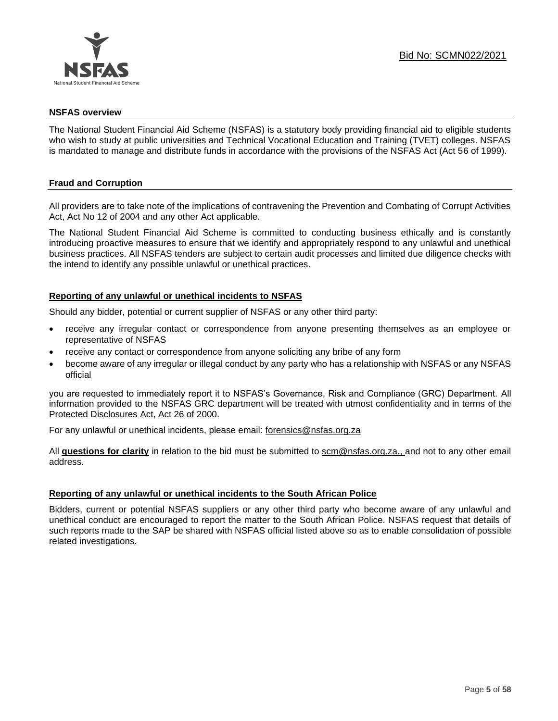

#### **NSFAS overview**

The National Student Financial Aid Scheme (NSFAS) is a statutory body providing financial aid to eligible students who wish to study at public universities and Technical Vocational Education and Training (TVET) colleges. NSFAS is mandated to manage and distribute funds in accordance with the provisions of the NSFAS Act (Act 56 of 1999).

## **Fraud and Corruption**

All providers are to take note of the implications of contravening the Prevention and Combating of Corrupt Activities Act, Act No 12 of 2004 and any other Act applicable.

The National Student Financial Aid Scheme is committed to conducting business ethically and is constantly introducing proactive measures to ensure that we identify and appropriately respond to any unlawful and unethical business practices. All NSFAS tenders are subject to certain audit processes and limited due diligence checks with the intend to identify any possible unlawful or unethical practices.

## **Reporting of any unlawful or unethical incidents to NSFAS**

Should any bidder, potential or current supplier of NSFAS or any other third party:

- receive any irregular contact or correspondence from anyone presenting themselves as an employee or representative of NSFAS
- receive any contact or correspondence from anyone soliciting any bribe of any form
- become aware of any irregular or illegal conduct by any party who has a relationship with NSFAS or any NSFAS official

you are requested to immediately report it to NSFAS's Governance, Risk and Compliance (GRC) Department. All information provided to the NSFAS GRC department will be treated with utmost confidentiality and in terms of the Protected Disclosures Act, Act 26 of 2000.

For any unlawful or unethical incidents, please email: [forensics@nsfas.org.za](mailto:forensics@nsfas.org.za)

All **questions for clarity** in relation to the bid must be submitted to [scm@nsfas.org.za.](mailto:scm@nsfas.org.za), and not to any other email address.

## **Reporting of any unlawful or unethical incidents to the South African Police**

Bidders, current or potential NSFAS suppliers or any other third party who become aware of any unlawful and unethical conduct are encouraged to report the matter to the South African Police. NSFAS request that details of such reports made to the SAP be shared with NSFAS official listed above so as to enable consolidation of possible related investigations.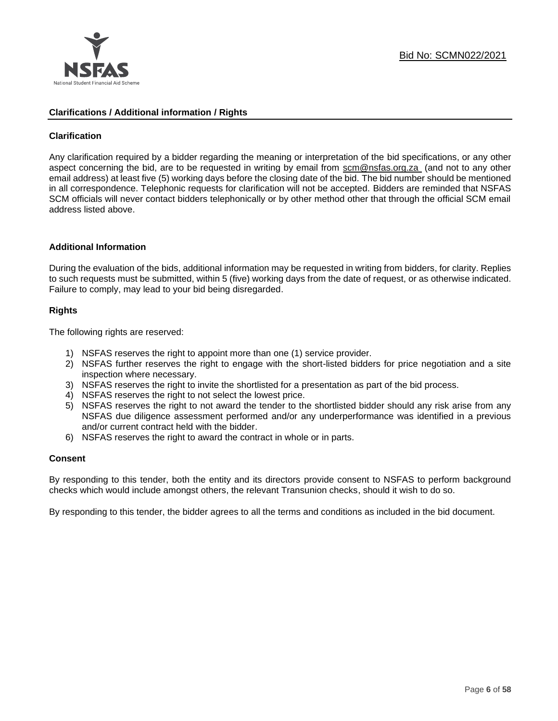

#### **Clarifications / Additional information / Rights**

## **Clarification**

Any clarification required by a bidder regarding the meaning or interpretation of the bid specifications, or any other aspect concerning the bid, are to be requested in writing by email from [scm@nsfas.org.za](mailto:scm@nsfas.org.za) (and not to any other email address) at least five (5) working days before the closing date of the bid. The bid number should be mentioned in all correspondence. Telephonic requests for clarification will not be accepted. Bidders are reminded that NSFAS SCM officials will never contact bidders telephonically or by other method other that through the official SCM email address listed above.

#### **Additional Information**

During the evaluation of the bids, additional information may be requested in writing from bidders, for clarity. Replies to such requests must be submitted, within 5 (five) working days from the date of request, or as otherwise indicated. Failure to comply, may lead to your bid being disregarded.

## **Rights**

The following rights are reserved:

- 1) NSFAS reserves the right to appoint more than one (1) service provider.
- 2) NSFAS further reserves the right to engage with the short-listed bidders for price negotiation and a site inspection where necessary.
- 3) NSFAS reserves the right to invite the shortlisted for a presentation as part of the bid process.
- 4) NSFAS reserves the right to not select the lowest price.
- 5) NSFAS reserves the right to not award the tender to the shortlisted bidder should any risk arise from any NSFAS due diligence assessment performed and/or any underperformance was identified in a previous and/or current contract held with the bidder.
- 6) NSFAS reserves the right to award the contract in whole or in parts.

#### **Consent**

By responding to this tender, both the entity and its directors provide consent to NSFAS to perform background checks which would include amongst others, the relevant Transunion checks, should it wish to do so.

By responding to this tender, the bidder agrees to all the terms and conditions as included in the bid document.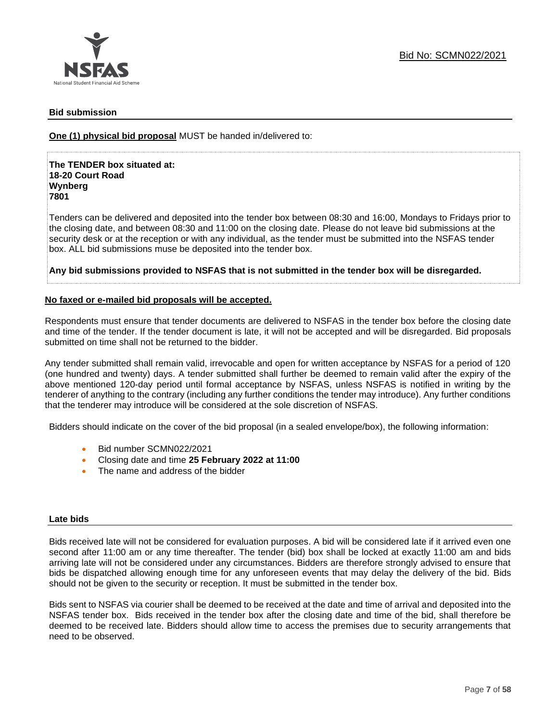

## **Bid submission**

**One (1) physical bid proposal** MUST be handed in/delivered to:

**The TENDER box situated at: 18-20 Court Road Wynberg 7801**

Tenders can be delivered and deposited into the tender box between 08:30 and 16:00, Mondays to Fridays prior to the closing date, and between 08:30 and 11:00 on the closing date. Please do not leave bid submissions at the security desk or at the reception or with any individual, as the tender must be submitted into the NSFAS tender box. ALL bid submissions muse be deposited into the tender box.

**Any bid submissions provided to NSFAS that is not submitted in the tender box will be disregarded.**

#### **No faxed or e-mailed bid proposals will be accepted.**

Respondents must ensure that tender documents are delivered to NSFAS in the tender box before the closing date and time of the tender. If the tender document is late, it will not be accepted and will be disregarded. Bid proposals submitted on time shall not be returned to the bidder.

Any tender submitted shall remain valid, irrevocable and open for written acceptance by NSFAS for a period of 120 (one hundred and twenty) days. A tender submitted shall further be deemed to remain valid after the expiry of the above mentioned 120-day period until formal acceptance by NSFAS, unless NSFAS is notified in writing by the tenderer of anything to the contrary (including any further conditions the tender may introduce). Any further conditions that the tenderer may introduce will be considered at the sole discretion of NSFAS.

Bidders should indicate on the cover of the bid proposal (in a sealed envelope/box), the following information:

- Bid number SCMN022/2021
- Closing date and time **25 February 2022 at 11:00**
- The name and address of the bidder

#### **Late bids**

Bids received late will not be considered for evaluation purposes. A bid will be considered late if it arrived even one second after 11:00 am or any time thereafter. The tender (bid) box shall be locked at exactly 11:00 am and bids arriving late will not be considered under any circumstances. Bidders are therefore strongly advised to ensure that bids be dispatched allowing enough time for any unforeseen events that may delay the delivery of the bid. Bids should not be given to the security or reception. It must be submitted in the tender box.

Bids sent to NSFAS via courier shall be deemed to be received at the date and time of arrival and deposited into the NSFAS tender box. Bids received in the tender box after the closing date and time of the bid, shall therefore be deemed to be received late. Bidders should allow time to access the premises due to security arrangements that need to be observed.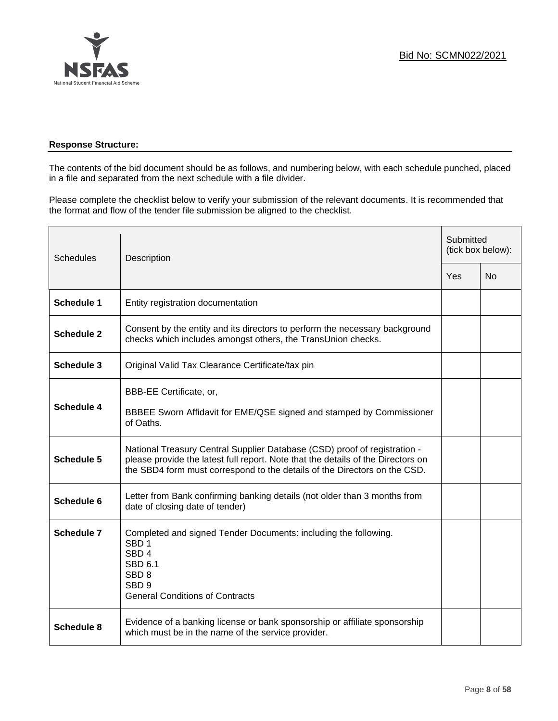

## **Response Structure:**

The contents of the bid document should be as follows, and numbering below, with each schedule punched, placed in a file and separated from the next schedule with a file divider.

Please complete the checklist below to verify your submission of the relevant documents. It is recommended that the format and flow of the tender file submission be aligned to the checklist.

| <b>Schedules</b>  | Description                                                                                                                                                                                                                                |  | Submitted<br>(tick box below): |  |
|-------------------|--------------------------------------------------------------------------------------------------------------------------------------------------------------------------------------------------------------------------------------------|--|--------------------------------|--|
|                   |                                                                                                                                                                                                                                            |  | N <sub>0</sub>                 |  |
| Schedule 1        | Entity registration documentation                                                                                                                                                                                                          |  |                                |  |
| Schedule 2        | Consent by the entity and its directors to perform the necessary background<br>checks which includes amongst others, the TransUnion checks.                                                                                                |  |                                |  |
| <b>Schedule 3</b> | Original Valid Tax Clearance Certificate/tax pin                                                                                                                                                                                           |  |                                |  |
| Schedule 4        | BBB-EE Certificate, or,<br>BBBEE Sworn Affidavit for EME/QSE signed and stamped by Commissioner<br>of Oaths.                                                                                                                               |  |                                |  |
| Schedule 5        | National Treasury Central Supplier Database (CSD) proof of registration -<br>please provide the latest full report. Note that the details of the Directors on<br>the SBD4 form must correspond to the details of the Directors on the CSD. |  |                                |  |
| Schedule 6        | Letter from Bank confirming banking details (not older than 3 months from<br>date of closing date of tender)                                                                                                                               |  |                                |  |
| Schedule 7        | Completed and signed Tender Documents: including the following.<br>SBD <sub>1</sub><br>SBD <sub>4</sub><br>SBD 6.1<br>SBD <sub>8</sub><br>SBD <sub>9</sub><br><b>General Conditions of Contracts</b>                                       |  |                                |  |
| Schedule 8        | Evidence of a banking license or bank sponsorship or affiliate sponsorship<br>which must be in the name of the service provider.                                                                                                           |  |                                |  |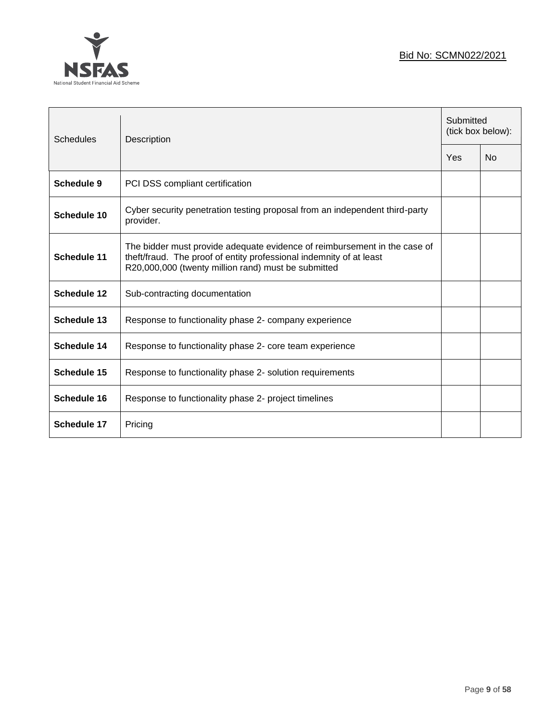

| <b>Schedules</b>   | Description                                                                                                                                                                                             |  | Submitted<br>(tick box below): |  |
|--------------------|---------------------------------------------------------------------------------------------------------------------------------------------------------------------------------------------------------|--|--------------------------------|--|
|                    |                                                                                                                                                                                                         |  | <b>No</b>                      |  |
| <b>Schedule 9</b>  | PCI DSS compliant certification                                                                                                                                                                         |  |                                |  |
| Schedule 10        | Cyber security penetration testing proposal from an independent third-party<br>provider.                                                                                                                |  |                                |  |
| Schedule 11        | The bidder must provide adequate evidence of reimbursement in the case of<br>theft/fraud. The proof of entity professional indemnity of at least<br>R20,000,000 (twenty million rand) must be submitted |  |                                |  |
| <b>Schedule 12</b> | Sub-contracting documentation                                                                                                                                                                           |  |                                |  |
| <b>Schedule 13</b> | Response to functionality phase 2- company experience                                                                                                                                                   |  |                                |  |
| Schedule 14        | Response to functionality phase 2- core team experience                                                                                                                                                 |  |                                |  |
| <b>Schedule 15</b> | Response to functionality phase 2- solution requirements                                                                                                                                                |  |                                |  |
| <b>Schedule 16</b> | Response to functionality phase 2- project timelines                                                                                                                                                    |  |                                |  |
| Schedule 17        | Pricing                                                                                                                                                                                                 |  |                                |  |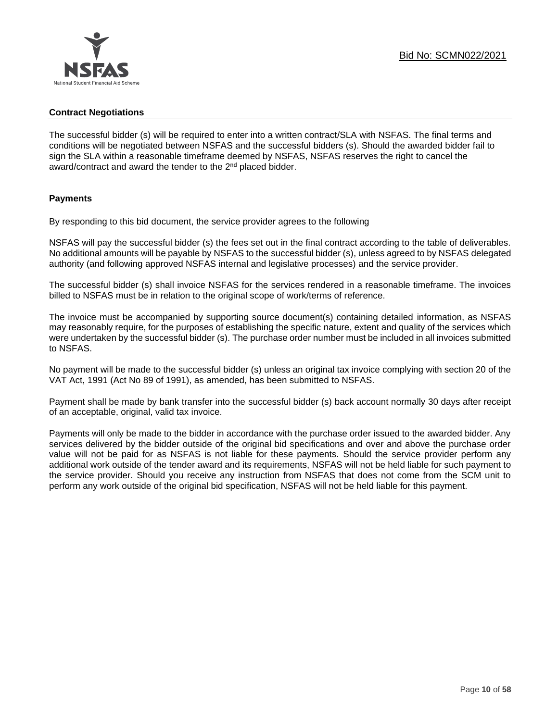## **Contract Negotiations**

The successful bidder (s) will be required to enter into a written contract/SLA with NSFAS. The final terms and conditions will be negotiated between NSFAS and the successful bidders (s). Should the awarded bidder fail to sign the SLA within a reasonable timeframe deemed by NSFAS, NSFAS reserves the right to cancel the award/contract and award the tender to the 2<sup>nd</sup> placed bidder.

## **Payments**

By responding to this bid document, the service provider agrees to the following

NSFAS will pay the successful bidder (s) the fees set out in the final contract according to the table of deliverables. No additional amounts will be payable by NSFAS to the successful bidder (s), unless agreed to by NSFAS delegated authority (and following approved NSFAS internal and legislative processes) and the service provider.

The successful bidder (s) shall invoice NSFAS for the services rendered in a reasonable timeframe. The invoices billed to NSFAS must be in relation to the original scope of work/terms of reference.

The invoice must be accompanied by supporting source document(s) containing detailed information, as NSFAS may reasonably require, for the purposes of establishing the specific nature, extent and quality of the services which were undertaken by the successful bidder (s). The purchase order number must be included in all invoices submitted to NSFAS.

No payment will be made to the successful bidder (s) unless an original tax invoice complying with section 20 of the VAT Act, 1991 (Act No 89 of 1991), as amended, has been submitted to NSFAS.

Payment shall be made by bank transfer into the successful bidder (s) back account normally 30 days after receipt of an acceptable, original, valid tax invoice.

Payments will only be made to the bidder in accordance with the purchase order issued to the awarded bidder. Any services delivered by the bidder outside of the original bid specifications and over and above the purchase order value will not be paid for as NSFAS is not liable for these payments. Should the service provider perform any additional work outside of the tender award and its requirements, NSFAS will not be held liable for such payment to the service provider. Should you receive any instruction from NSFAS that does not come from the SCM unit to perform any work outside of the original bid specification, NSFAS will not be held liable for this payment.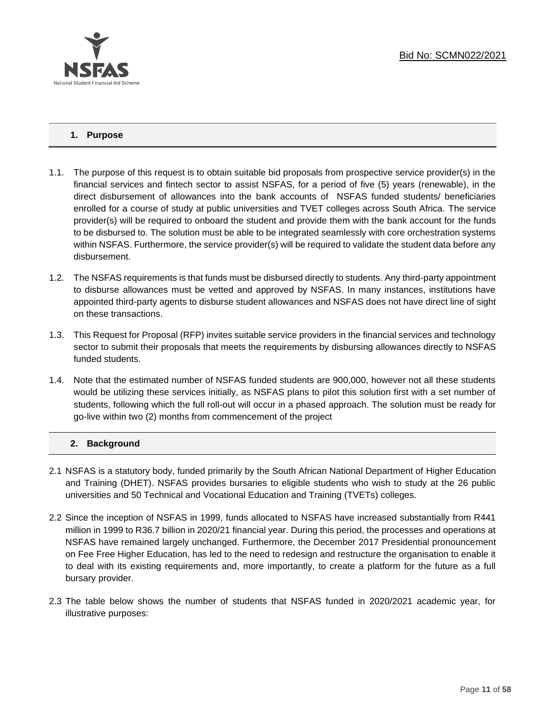

## **1. Purpose**

- 1.1. The purpose of this request is to obtain suitable bid proposals from prospective service provider(s) in the financial services and fintech sector to assist NSFAS, for a period of five (5) years (renewable), in the direct disbursement of allowances into the bank accounts of NSFAS funded students/ beneficiaries enrolled for a course of study at public universities and TVET colleges across South Africa. The service provider(s) will be required to onboard the student and provide them with the bank account for the funds to be disbursed to. The solution must be able to be integrated seamlessly with core orchestration systems within NSFAS. Furthermore, the service provider(s) will be required to validate the student data before any disbursement.
- 1.2. The NSFAS requirements is that funds must be disbursed directly to students. Any third-party appointment to disburse allowances must be vetted and approved by NSFAS. In many instances, institutions have appointed third-party agents to disburse student allowances and NSFAS does not have direct line of sight on these transactions.
- 1.3. This Request for Proposal (RFP) invites suitable service providers in the financial services and technology sector to submit their proposals that meets the requirements by disbursing allowances directly to NSFAS funded students.
- 1.4. Note that the estimated number of NSFAS funded students are 900,000, however not all these students would be utilizing these services initially, as NSFAS plans to pilot this solution first with a set number of students, following which the full roll-out will occur in a phased approach. The solution must be ready for go-live within two (2) months from commencement of the project

## **2. Background**

- 2.1 NSFAS is a statutory body, funded primarily by the South African National Department of Higher Education and Training (DHET). NSFAS provides bursaries to eligible students who wish to study at the 26 public universities and 50 Technical and Vocational Education and Training (TVETs) colleges.
- 2.2 Since the inception of NSFAS in 1999, funds allocated to NSFAS have increased substantially from R441 million in 1999 to R36.7 billion in 2020/21 financial year. During this period, the processes and operations at NSFAS have remained largely unchanged. Furthermore, the December 2017 Presidential pronouncement on Fee Free Higher Education, has led to the need to redesign and restructure the organisation to enable it to deal with its existing requirements and, more importantly, to create a platform for the future as a full bursary provider.
- 2.3 The table below shows the number of students that NSFAS funded in 2020/2021 academic year, for illustrative purposes: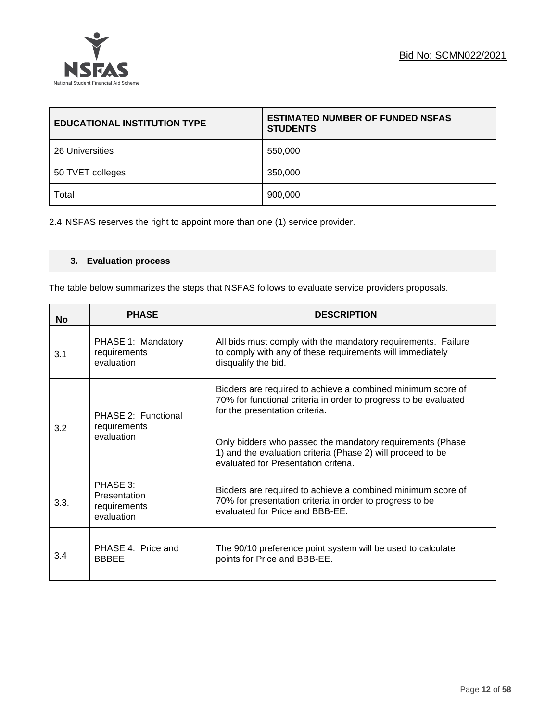

| <b>EDUCATIONAL INSTITUTION TYPE</b> | <b>ESTIMATED NUMBER OF FUNDED NSFAS</b><br><b>STUDENTS</b> |
|-------------------------------------|------------------------------------------------------------|
| 26 Universities                     | 550,000                                                    |
| 50 TVET colleges                    | 350,000                                                    |
| Total                               | 900,000                                                    |

2.4 NSFAS reserves the right to appoint more than one (1) service provider.

## **3. Evaluation process**

The table below summarizes the steps that NSFAS follows to evaluate service providers proposals.

| <b>No</b> | <b>PHASE</b>                                           | <b>DESCRIPTION</b>                                                                                                                                                                                                                                                                                                                    |
|-----------|--------------------------------------------------------|---------------------------------------------------------------------------------------------------------------------------------------------------------------------------------------------------------------------------------------------------------------------------------------------------------------------------------------|
| 3.1       | PHASE 1: Mandatory<br>requirements<br>evaluation       | All bids must comply with the mandatory requirements. Failure<br>to comply with any of these requirements will immediately<br>disqualify the bid.                                                                                                                                                                                     |
| 3.2       | PHASE 2: Functional<br>requirements<br>evaluation      | Bidders are required to achieve a combined minimum score of<br>70% for functional criteria in order to progress to be evaluated<br>for the presentation criteria.<br>Only bidders who passed the mandatory requirements (Phase<br>1) and the evaluation criteria (Phase 2) will proceed to be<br>evaluated for Presentation criteria. |
| 3.3.      | PHASE 3:<br>Presentation<br>requirements<br>evaluation | Bidders are required to achieve a combined minimum score of<br>70% for presentation criteria in order to progress to be<br>evaluated for Price and BBB-EE.                                                                                                                                                                            |
| 3.4       | PHASE 4: Price and<br><b>BBBEE</b>                     | The 90/10 preference point system will be used to calculate<br>points for Price and BBB-EE.                                                                                                                                                                                                                                           |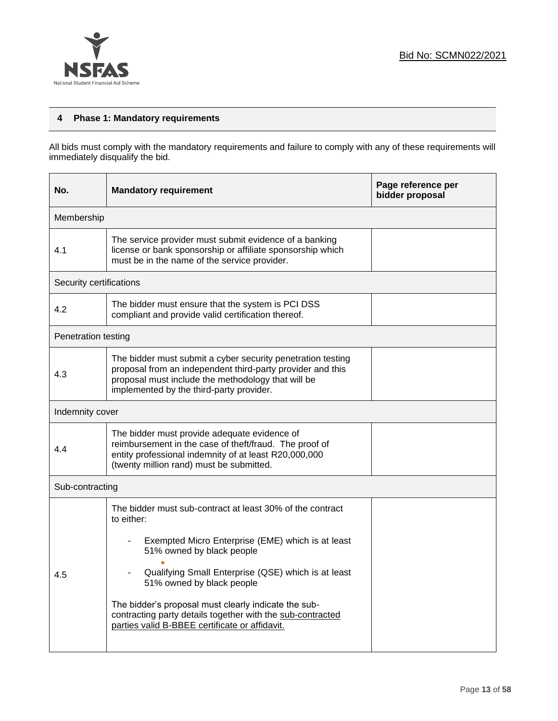

## **4 Phase 1: Mandatory requirements**

All bids must comply with the mandatory requirements and failure to comply with any of these requirements will immediately disqualify the bid.

| No.                     | <b>Mandatory requirement</b>                                                                                                                                                                                                                                                                                                                                                                                          | Page reference per<br>bidder proposal |  |  |  |  |
|-------------------------|-----------------------------------------------------------------------------------------------------------------------------------------------------------------------------------------------------------------------------------------------------------------------------------------------------------------------------------------------------------------------------------------------------------------------|---------------------------------------|--|--|--|--|
| Membership              |                                                                                                                                                                                                                                                                                                                                                                                                                       |                                       |  |  |  |  |
| 4.1                     | The service provider must submit evidence of a banking<br>license or bank sponsorship or affiliate sponsorship which<br>must be in the name of the service provider.                                                                                                                                                                                                                                                  |                                       |  |  |  |  |
| Security certifications |                                                                                                                                                                                                                                                                                                                                                                                                                       |                                       |  |  |  |  |
| 4.2                     | The bidder must ensure that the system is PCI DSS<br>compliant and provide valid certification thereof.                                                                                                                                                                                                                                                                                                               |                                       |  |  |  |  |
| Penetration testing     |                                                                                                                                                                                                                                                                                                                                                                                                                       |                                       |  |  |  |  |
| 4.3                     | The bidder must submit a cyber security penetration testing<br>proposal from an independent third-party provider and this<br>proposal must include the methodology that will be<br>implemented by the third-party provider.                                                                                                                                                                                           |                                       |  |  |  |  |
| Indemnity cover         |                                                                                                                                                                                                                                                                                                                                                                                                                       |                                       |  |  |  |  |
| 4.4                     | The bidder must provide adequate evidence of<br>reimbursement in the case of theft/fraud. The proof of<br>entity professional indemnity of at least R20,000,000<br>(twenty million rand) must be submitted.                                                                                                                                                                                                           |                                       |  |  |  |  |
| Sub-contracting         |                                                                                                                                                                                                                                                                                                                                                                                                                       |                                       |  |  |  |  |
| 4.5                     | The bidder must sub-contract at least 30% of the contract<br>to either:<br>Exempted Micro Enterprise (EME) which is at least<br>51% owned by black people<br>Qualifying Small Enterprise (QSE) which is at least<br>51% owned by black people<br>The bidder's proposal must clearly indicate the sub-<br>contracting party details together with the sub-contracted<br>parties valid B-BBEE certificate or affidavit. |                                       |  |  |  |  |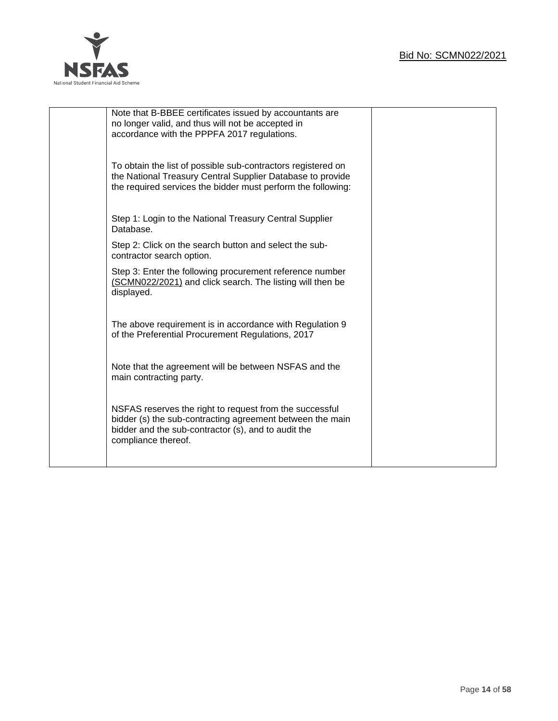

| Note that B-BBEE certificates issued by accountants are      |  |
|--------------------------------------------------------------|--|
| no longer valid, and thus will not be accepted in            |  |
| accordance with the PPPFA 2017 regulations.                  |  |
|                                                              |  |
|                                                              |  |
|                                                              |  |
| To obtain the list of possible sub-contractors registered on |  |
| the National Treasury Central Supplier Database to provide   |  |
| the required services the bidder must perform the following: |  |
|                                                              |  |
|                                                              |  |
|                                                              |  |
| Step 1: Login to the National Treasury Central Supplier      |  |
| Database.                                                    |  |
|                                                              |  |
| Step 2: Click on the search button and select the sub-       |  |
| contractor search option.                                    |  |
|                                                              |  |
| Step 3: Enter the following procurement reference number     |  |
| (SCMN022/2021) and click search. The listing will then be    |  |
| displayed.                                                   |  |
|                                                              |  |
|                                                              |  |
| The above requirement is in accordance with Regulation 9     |  |
|                                                              |  |
| of the Preferential Procurement Regulations, 2017            |  |
|                                                              |  |
|                                                              |  |
| Note that the agreement will be between NSFAS and the        |  |
| main contracting party.                                      |  |
|                                                              |  |
|                                                              |  |
|                                                              |  |
| NSFAS reserves the right to request from the successful      |  |
| bidder (s) the sub-contracting agreement between the main    |  |
| bidder and the sub-contractor (s), and to audit the          |  |
| compliance thereof.                                          |  |
|                                                              |  |
|                                                              |  |
|                                                              |  |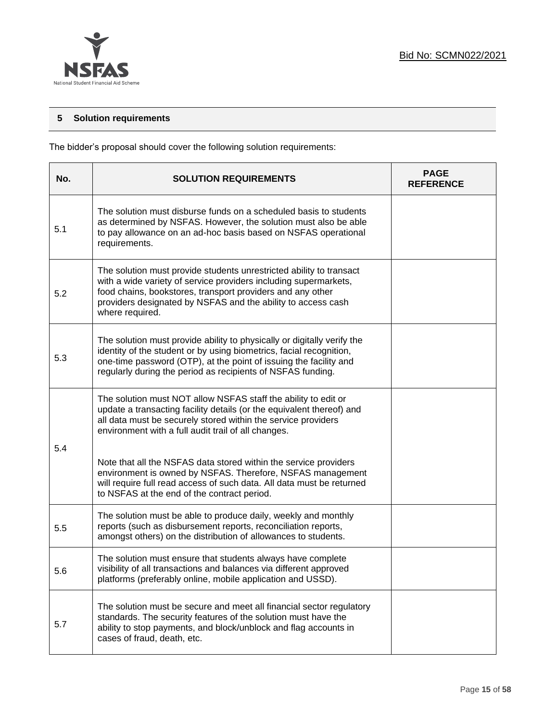

## **5 Solution requirements**

The bidder's proposal should cover the following solution requirements:

| No. | <b>SOLUTION REQUIREMENTS</b>                                                                                                                                                                                                                                                             | <b>PAGE</b><br><b>REFERENCE</b> |
|-----|------------------------------------------------------------------------------------------------------------------------------------------------------------------------------------------------------------------------------------------------------------------------------------------|---------------------------------|
| 5.1 | The solution must disburse funds on a scheduled basis to students<br>as determined by NSFAS. However, the solution must also be able<br>to pay allowance on an ad-hoc basis based on NSFAS operational<br>requirements.                                                                  |                                 |
| 5.2 | The solution must provide students unrestricted ability to transact<br>with a wide variety of service providers including supermarkets,<br>food chains, bookstores, transport providers and any other<br>providers designated by NSFAS and the ability to access cash<br>where required. |                                 |
| 5.3 | The solution must provide ability to physically or digitally verify the<br>identity of the student or by using biometrics, facial recognition,<br>one-time password (OTP), at the point of issuing the facility and<br>regularly during the period as recipients of NSFAS funding.       |                                 |
| 5.4 | The solution must NOT allow NSFAS staff the ability to edit or<br>update a transacting facility details (or the equivalent thereof) and<br>all data must be securely stored within the service providers<br>environment with a full audit trail of all changes.                          |                                 |
|     | Note that all the NSFAS data stored within the service providers<br>environment is owned by NSFAS. Therefore, NSFAS management<br>will require full read access of such data. All data must be returned<br>to NSFAS at the end of the contract period.                                   |                                 |
| 5.5 | The solution must be able to produce daily, weekly and monthly<br>reports (such as disbursement reports, reconciliation reports,<br>amongst others) on the distribution of allowances to students.                                                                                       |                                 |
| 5.6 | The solution must ensure that students always have complete<br>visibility of all transactions and balances via different approved<br>platforms (preferably online, mobile application and USSD).                                                                                         |                                 |
| 5.7 | The solution must be secure and meet all financial sector regulatory<br>standards. The security features of the solution must have the<br>ability to stop payments, and block/unblock and flag accounts in<br>cases of fraud, death, etc.                                                |                                 |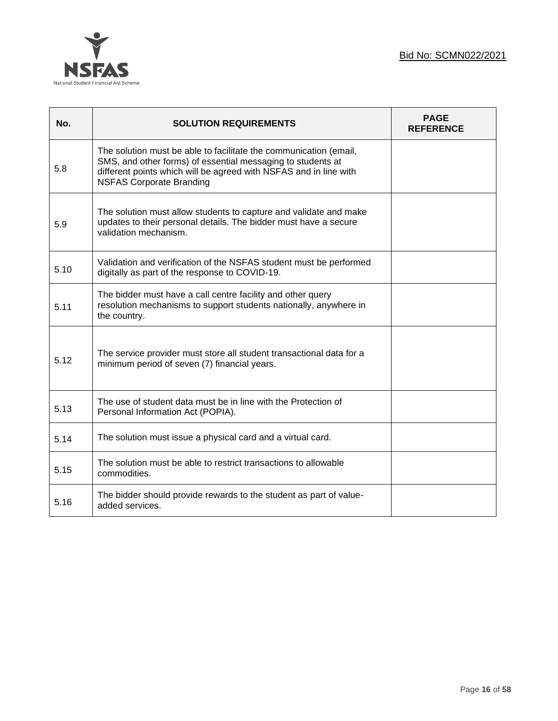

| No.  | <b>SOLUTION REQUIREMENTS</b>                                                                                                                                                                                                             | <b>PAGE</b><br><b>REFERENCE</b> |
|------|------------------------------------------------------------------------------------------------------------------------------------------------------------------------------------------------------------------------------------------|---------------------------------|
| 5.8  | The solution must be able to facilitate the communication (email,<br>SMS, and other forms) of essential messaging to students at<br>different points which will be agreed with NSFAS and in line with<br><b>NSFAS Corporate Branding</b> |                                 |
| 5.9  | The solution must allow students to capture and validate and make<br>updates to their personal details. The bidder must have a secure<br>validation mechanism.                                                                           |                                 |
| 5.10 | Validation and verification of the NSFAS student must be performed<br>digitally as part of the response to COVID-19.                                                                                                                     |                                 |
| 5.11 | The bidder must have a call centre facility and other query<br>resolution mechanisms to support students nationally, anywhere in<br>the country.                                                                                         |                                 |
| 5.12 | The service provider must store all student transactional data for a<br>minimum period of seven (7) financial years.                                                                                                                     |                                 |
| 5.13 | The use of student data must be in line with the Protection of<br>Personal Information Act (POPIA).                                                                                                                                      |                                 |
| 5.14 | The solution must issue a physical card and a virtual card.                                                                                                                                                                              |                                 |
| 5.15 | The solution must be able to restrict transactions to allowable<br>commodities.                                                                                                                                                          |                                 |
| 5.16 | The bidder should provide rewards to the student as part of value-<br>added services.                                                                                                                                                    |                                 |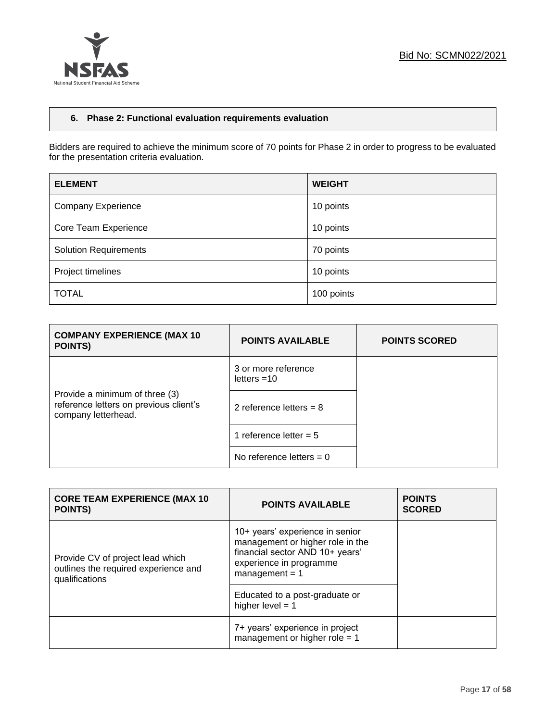

## **6. Phase 2: Functional evaluation requirements evaluation**

Bidders are required to achieve the minimum score of 70 points for Phase 2 in order to progress to be evaluated for the presentation criteria evaluation.

| <b>ELEMENT</b>               | <b>WEIGHT</b> |
|------------------------------|---------------|
| <b>Company Experience</b>    | 10 points     |
| Core Team Experience         | 10 points     |
| <b>Solution Requirements</b> | 70 points     |
| Project timelines            | 10 points     |
| <b>TOTAL</b>                 | 100 points    |

| <b>COMPANY EXPERIENCE (MAX 10)</b><br><b>POINTS)</b>                                            | <b>POINTS AVAILABLE</b>              | <b>POINTS SCORED</b> |
|-------------------------------------------------------------------------------------------------|--------------------------------------|----------------------|
|                                                                                                 | 3 or more reference<br>letters $=10$ |                      |
| Provide a minimum of three (3)<br>reference letters on previous client's<br>company letterhead. | 2 reference letters = $8$            |                      |
|                                                                                                 | 1 reference letter = $5$             |                      |
|                                                                                                 | No reference letters $= 0$           |                      |

| <b>CORE TEAM EXPERIENCE (MAX 10</b><br><b>POINTS)</b>                                      | <b>POINTS AVAILABLE</b>                                                                                                                               | <b>POINTS</b><br><b>SCORED</b> |
|--------------------------------------------------------------------------------------------|-------------------------------------------------------------------------------------------------------------------------------------------------------|--------------------------------|
| Provide CV of project lead which<br>outlines the required experience and<br>qualifications | 10+ years' experience in senior<br>management or higher role in the<br>financial sector AND 10+ years'<br>experience in programme<br>$management = 1$ |                                |
|                                                                                            | Educated to a post-graduate or<br>higher level $= 1$                                                                                                  |                                |
|                                                                                            | 7+ years' experience in project<br>management or higher role $= 1$                                                                                    |                                |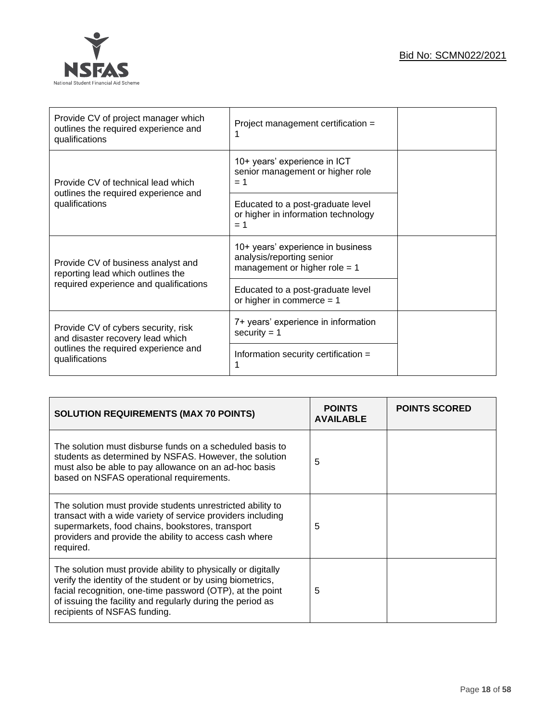

| Provide CV of project manager which<br>outlines the required experience and<br>qualifications | Project management certification =                                                                |  |
|-----------------------------------------------------------------------------------------------|---------------------------------------------------------------------------------------------------|--|
| Provide CV of technical lead which                                                            | 10+ years' experience in ICT<br>senior management or higher role<br>$= 1$                         |  |
| outlines the required experience and<br>qualifications                                        | Educated to a post-graduate level<br>or higher in information technology<br>$= 1$                 |  |
| Provide CV of business analyst and<br>reporting lead which outlines the                       | 10+ years' experience in business<br>analysis/reporting senior<br>management or higher role $= 1$ |  |
| required experience and qualifications                                                        | Educated to a post-graduate level<br>or higher in commerce $= 1$                                  |  |
| Provide CV of cybers security, risk<br>and disaster recovery lead which                       | 7+ years' experience in information<br>security $= 1$                                             |  |
| outlines the required experience and<br>qualifications                                        | Information security certification =                                                              |  |

| <b>SOLUTION REQUIREMENTS (MAX 70 POINTS)</b>                                                                                                                                                                                                                                          | <b>POINTS</b><br><b>AVAILABLE</b> | <b>POINTS SCORED</b> |
|---------------------------------------------------------------------------------------------------------------------------------------------------------------------------------------------------------------------------------------------------------------------------------------|-----------------------------------|----------------------|
| The solution must disburse funds on a scheduled basis to<br>students as determined by NSFAS. However, the solution<br>must also be able to pay allowance on an ad-hoc basis<br>based on NSFAS operational requirements.                                                               | 5                                 |                      |
| The solution must provide students unrestricted ability to<br>transact with a wide variety of service providers including<br>supermarkets, food chains, bookstores, transport<br>providers and provide the ability to access cash where<br>required.                                  | 5                                 |                      |
| The solution must provide ability to physically or digitally<br>verify the identity of the student or by using biometrics,<br>facial recognition, one-time password (OTP), at the point<br>of issuing the facility and regularly during the period as<br>recipients of NSFAS funding. | 5                                 |                      |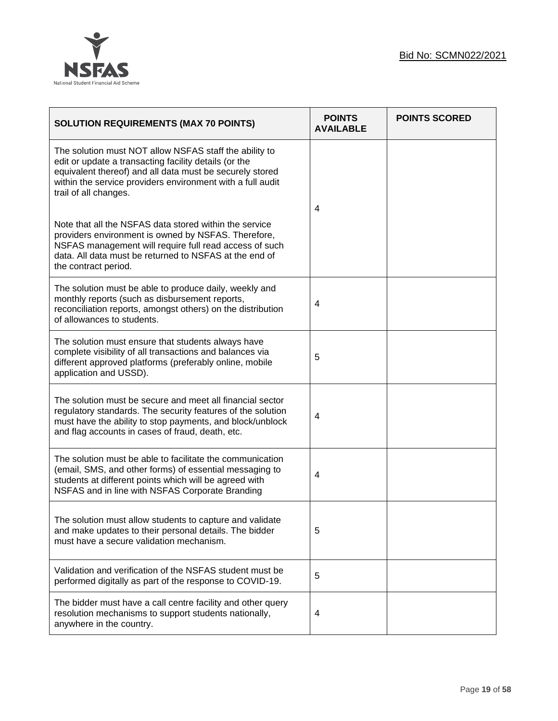

| <b>SOLUTION REQUIREMENTS (MAX 70 POINTS)</b>                                                                                                                                                                                                                       | <b>POINTS</b><br><b>AVAILABLE</b> | <b>POINTS SCORED</b> |
|--------------------------------------------------------------------------------------------------------------------------------------------------------------------------------------------------------------------------------------------------------------------|-----------------------------------|----------------------|
| The solution must NOT allow NSFAS staff the ability to<br>edit or update a transacting facility details (or the<br>equivalent thereof) and all data must be securely stored<br>within the service providers environment with a full audit<br>trail of all changes. | 4                                 |                      |
| Note that all the NSFAS data stored within the service<br>providers environment is owned by NSFAS. Therefore,<br>NSFAS management will require full read access of such<br>data. All data must be returned to NSFAS at the end of<br>the contract period.          |                                   |                      |
| The solution must be able to produce daily, weekly and<br>monthly reports (such as disbursement reports,<br>reconciliation reports, amongst others) on the distribution<br>of allowances to students.                                                              | 4                                 |                      |
| The solution must ensure that students always have<br>complete visibility of all transactions and balances via<br>different approved platforms (preferably online, mobile<br>application and USSD).                                                                | 5                                 |                      |
| The solution must be secure and meet all financial sector<br>regulatory standards. The security features of the solution<br>must have the ability to stop payments, and block/unblock<br>and flag accounts in cases of fraud, death, etc.                          | 4                                 |                      |
| The solution must be able to facilitate the communication<br>(email, SMS, and other forms) of essential messaging to<br>students at different points which will be agreed with<br>NSFAS and in line with NSFAS Corporate Branding                                  | 4                                 |                      |
| The solution must allow students to capture and validate<br>and make updates to their personal details. The bidder<br>must have a secure validation mechanism.                                                                                                     | 5                                 |                      |
| Validation and verification of the NSFAS student must be<br>performed digitally as part of the response to COVID-19.                                                                                                                                               | 5                                 |                      |
| The bidder must have a call centre facility and other query<br>resolution mechanisms to support students nationally,<br>anywhere in the country.                                                                                                                   | 4                                 |                      |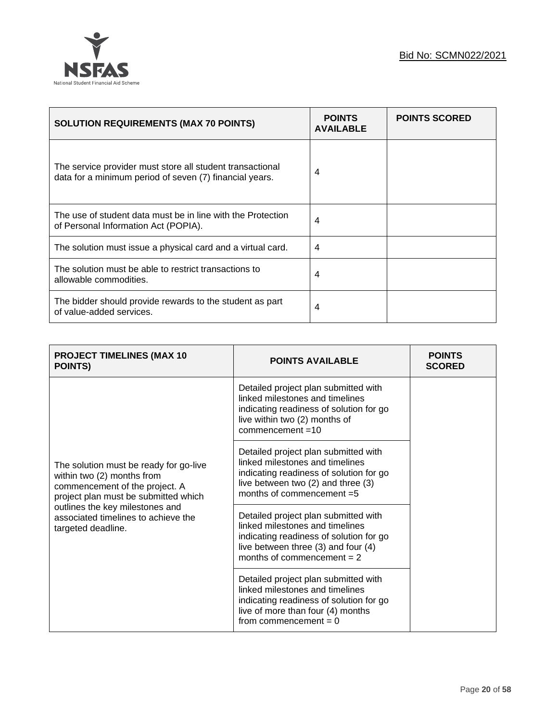

| <b>SOLUTION REQUIREMENTS (MAX 70 POINTS)</b>                                                                         | <b>POINTS</b><br><b>AVAILABLE</b> | <b>POINTS SCORED</b> |
|----------------------------------------------------------------------------------------------------------------------|-----------------------------------|----------------------|
| The service provider must store all student transactional<br>data for a minimum period of seven (7) financial years. | 4                                 |                      |
| The use of student data must be in line with the Protection<br>of Personal Information Act (POPIA).                  | 4                                 |                      |
| The solution must issue a physical card and a virtual card.                                                          | 4                                 |                      |
| The solution must be able to restrict transactions to<br>allowable commodities.                                      | 4                                 |                      |
| The bidder should provide rewards to the student as part<br>of value-added services.                                 | 4                                 |                      |

| <b>PROJECT TIMELINES (MAX 10</b><br><b>POINTS)</b>                                                                                                                                                                                             | <b>POINTS AVAILABLE</b>                                                                                                                                                                   | <b>POINTS</b><br><b>SCORED</b> |
|------------------------------------------------------------------------------------------------------------------------------------------------------------------------------------------------------------------------------------------------|-------------------------------------------------------------------------------------------------------------------------------------------------------------------------------------------|--------------------------------|
| The solution must be ready for go-live<br>within two (2) months from<br>commencement of the project. A<br>project plan must be submitted which<br>outlines the key milestones and<br>associated timelines to achieve the<br>targeted deadline. | Detailed project plan submitted with<br>linked milestones and timelines<br>indicating readiness of solution for go<br>live within two (2) months of<br>$common$ =10                       |                                |
|                                                                                                                                                                                                                                                | Detailed project plan submitted with<br>linked milestones and timelines<br>indicating readiness of solution for go<br>live between two (2) and three (3)<br>months of commencement =5     |                                |
|                                                                                                                                                                                                                                                | Detailed project plan submitted with<br>linked milestones and timelines<br>indicating readiness of solution for go<br>live between three (3) and four (4)<br>months of commencement $= 2$ |                                |
|                                                                                                                                                                                                                                                | Detailed project plan submitted with<br>linked milestones and timelines<br>indicating readiness of solution for go<br>live of more than four (4) months<br>from commencement = $0$        |                                |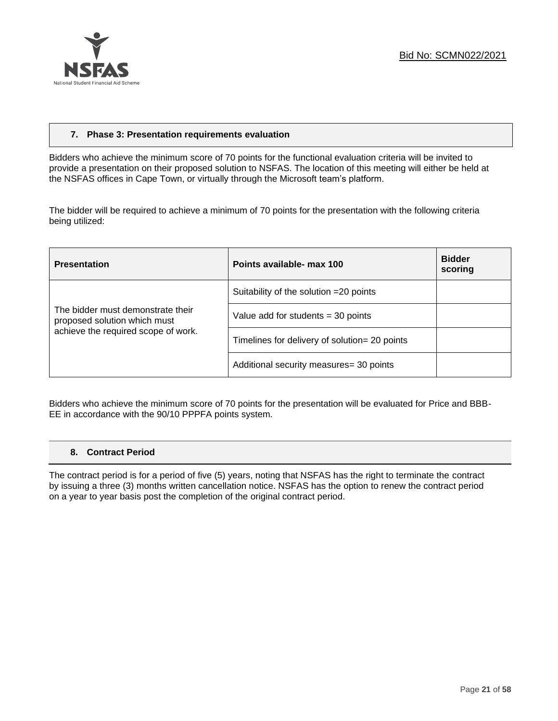

## **7. Phase 3: Presentation requirements evaluation**

Bidders who achieve the minimum score of 70 points for the functional evaluation criteria will be invited to provide a presentation on their proposed solution to NSFAS. The location of this meeting will either be held at the NSFAS offices in Cape Town, or virtually through the Microsoft team's platform.

The bidder will be required to achieve a minimum of 70 points for the presentation with the following criteria being utilized:

| <b>Presentation</b>                                                                                      | Points available- max 100                     | <b>Bidder</b><br>scoring |
|----------------------------------------------------------------------------------------------------------|-----------------------------------------------|--------------------------|
|                                                                                                          | Suitability of the solution = 20 points       |                          |
| The bidder must demonstrate their<br>proposed solution which must<br>achieve the required scope of work. | Value add for students $=$ 30 points          |                          |
|                                                                                                          | Timelines for delivery of solution= 20 points |                          |
|                                                                                                          | Additional security measures= 30 points       |                          |

Bidders who achieve the minimum score of 70 points for the presentation will be evaluated for Price and BBB-EE in accordance with the 90/10 PPPFA points system.

#### **8. Contract Period**

The contract period is for a period of five (5) years, noting that NSFAS has the right to terminate the contract by issuing a three (3) months written cancellation notice. NSFAS has the option to renew the contract period on a year to year basis post the completion of the original contract period.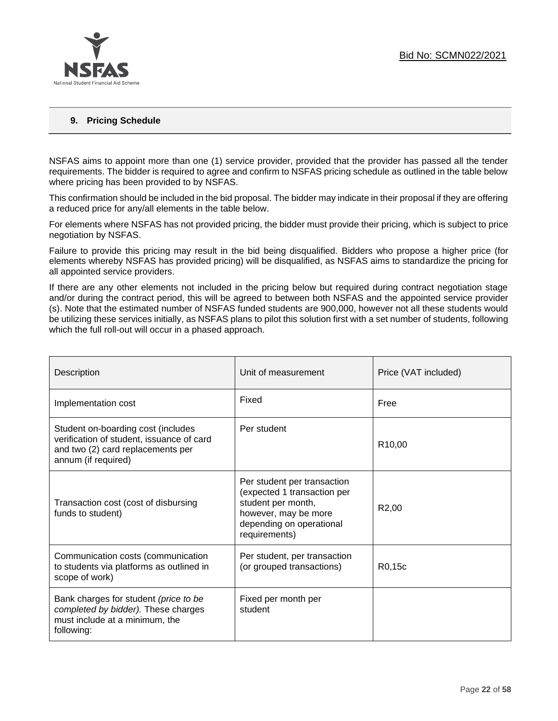

## **9. Pricing Schedule**

NSFAS aims to appoint more than one (1) service provider, provided that the provider has passed all the tender requirements. The bidder is required to agree and confirm to NSFAS pricing schedule as outlined in the table below where pricing has been provided to by NSFAS.

This confirmation should be included in the bid proposal. The bidder may indicate in their proposal if they are offering a reduced price for any/all elements in the table below.

For elements where NSFAS has not provided pricing, the bidder must provide their pricing, which is subject to price negotiation by NSFAS.

Failure to provide this pricing may result in the bid being disqualified. Bidders who propose a higher price (for elements whereby NSFAS has provided pricing) will be disqualified, as NSFAS aims to standardize the pricing for all appointed service providers.

If there are any other elements not included in the pricing below but required during contract negotiation stage and/or during the contract period, this will be agreed to between both NSFAS and the appointed service provider (s). Note that the estimated number of NSFAS funded students are 900,000, however not all these students would be utilizing these services initially, as NSFAS plans to pilot this solution first with a set number of students, following which the full roll-out will occur in a phased approach.

| Description                                                                                                                                 | Unit of measurement                                                                                                                                   | Price (VAT included) |
|---------------------------------------------------------------------------------------------------------------------------------------------|-------------------------------------------------------------------------------------------------------------------------------------------------------|----------------------|
| Implementation cost                                                                                                                         | Fixed                                                                                                                                                 | Free                 |
| Student on-boarding cost (includes<br>verification of student, issuance of card<br>and two (2) card replacements per<br>annum (if required) | Per student                                                                                                                                           | R <sub>10,00</sub>   |
| Transaction cost (cost of disbursing<br>funds to student)                                                                                   | Per student per transaction<br>(expected 1 transaction per<br>student per month,<br>however, may be more<br>depending on operational<br>requirements) | R <sub>2</sub> ,00   |
| Communication costs (communication<br>to students via platforms as outlined in<br>scope of work)                                            | Per student, per transaction<br>(or grouped transactions)                                                                                             | R0,15c               |
| Bank charges for student (price to be<br>completed by bidder). These charges<br>must include at a minimum, the<br>following:                | Fixed per month per<br>student                                                                                                                        |                      |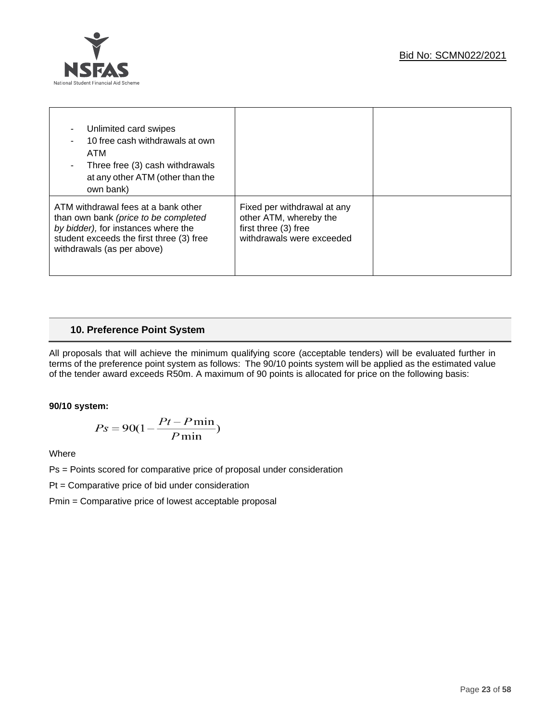

| Unlimited card swipes<br>10 free cash withdrawals at own<br>ATM<br>Three free (3) cash withdrawals<br>٠<br>at any other ATM (other than the<br>own bank)                                     |                                                                                                            |  |
|----------------------------------------------------------------------------------------------------------------------------------------------------------------------------------------------|------------------------------------------------------------------------------------------------------------|--|
| ATM withdrawal fees at a bank other<br>than own bank (price to be completed<br>by bidder), for instances where the<br>student exceeds the first three (3) free<br>withdrawals (as per above) | Fixed per withdrawal at any<br>other ATM, whereby the<br>first three (3) free<br>withdrawals were exceeded |  |

## **10. Preference Point System**

All proposals that will achieve the minimum qualifying score (acceptable tenders) will be evaluated further in terms of the preference point system as follows: The 90/10 points system will be applied as the estimated value of the tender award exceeds R50m. A maximum of 90 points is allocated for price on the following basis:

## **90/10 system:**

$$
Ps = 90(1 - \frac{Pt - P\min}{P\min})
$$

Where

Ps = Points scored for comparative price of proposal under consideration

Pt = Comparative price of bid under consideration

Pmin = Comparative price of lowest acceptable proposal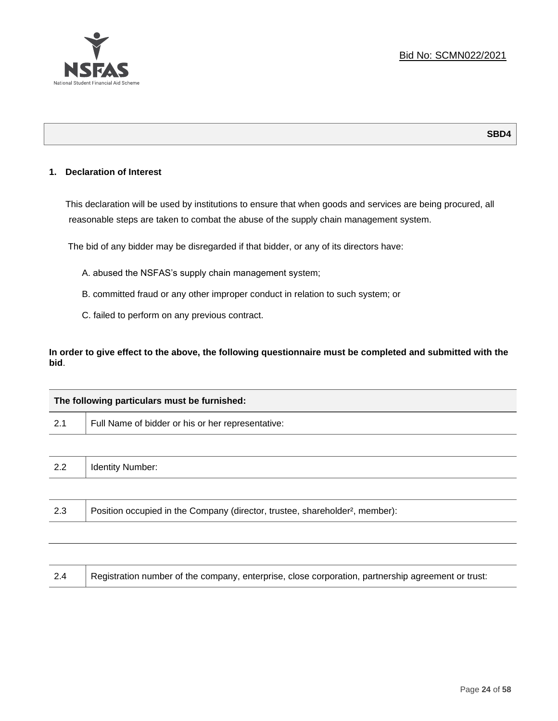

## **SBD4**

## **1. Declaration of Interest**

This declaration will be used by institutions to ensure that when goods and services are being procured, all reasonable steps are taken to combat the abuse of the supply chain management system.

The bid of any bidder may be disregarded if that bidder, or any of its directors have:

- A. abused the NSFAS's supply chain management system;
- B. committed fraud or any other improper conduct in relation to such system; or
- C. failed to perform on any previous contract.

**In order to give effect to the above, the following questionnaire must be completed and submitted with the bid**.

| The following particulars must be furnished: |                                                                                          |  |  |
|----------------------------------------------|------------------------------------------------------------------------------------------|--|--|
| 2.1                                          | Full Name of bidder or his or her representative:                                        |  |  |
|                                              |                                                                                          |  |  |
| 2.2                                          | <b>Identity Number:</b>                                                                  |  |  |
|                                              |                                                                                          |  |  |
| 2.3                                          | Position occupied in the Company (director, trustee, shareholder <sup>2</sup> , member): |  |  |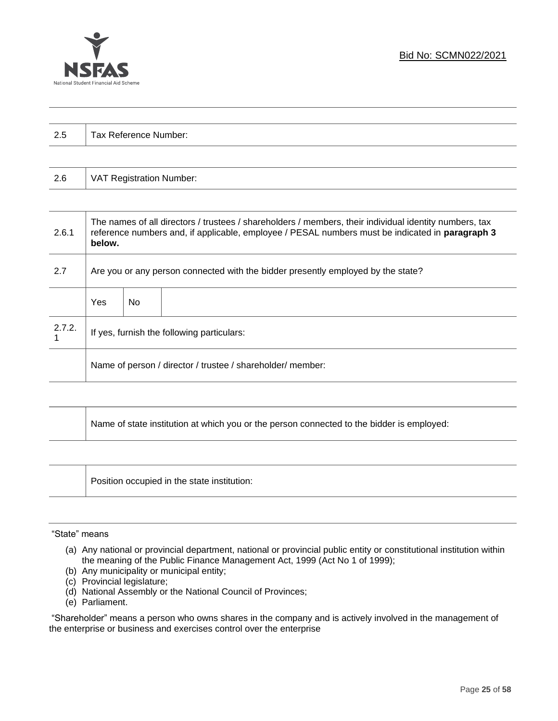

| $\Omega$<br>ن.∠ | Tax Reference Number: |
|-----------------|-----------------------|
|                 |                       |

| 2.6 | VAT Registration Number: |
|-----|--------------------------|
|-----|--------------------------|

| 2.6.1  | The names of all directors / trustees / shareholders / members, their individual identity numbers, tax<br>reference numbers and, if applicable, employee / PESAL numbers must be indicated in paragraph 3<br>below. |     |  |  |  |
|--------|---------------------------------------------------------------------------------------------------------------------------------------------------------------------------------------------------------------------|-----|--|--|--|
| 2.7    | Are you or any person connected with the bidder presently employed by the state?                                                                                                                                    |     |  |  |  |
|        | Yes                                                                                                                                                                                                                 | No. |  |  |  |
| 2.7.2. | If yes, furnish the following particulars:                                                                                                                                                                          |     |  |  |  |
|        | Name of person / director / trustee / shareholder/ member:                                                                                                                                                          |     |  |  |  |

| Name of state institution at which you or the person connected to the bidder is employed: |
|-------------------------------------------------------------------------------------------|
|                                                                                           |

Position occupied in the state institution:

#### "State" means

- (a) Any national or provincial department, national or provincial public entity or constitutional institution within the meaning of the Public Finance Management Act, 1999 (Act No 1 of 1999);
- (b) Any municipality or municipal entity;
- (c) Provincial legislature;
- (d) National Assembly or the National Council of Provinces;
- (e) Parliament.

"Shareholder" means a person who owns shares in the company and is actively involved in the management of the enterprise or business and exercises control over the enterprise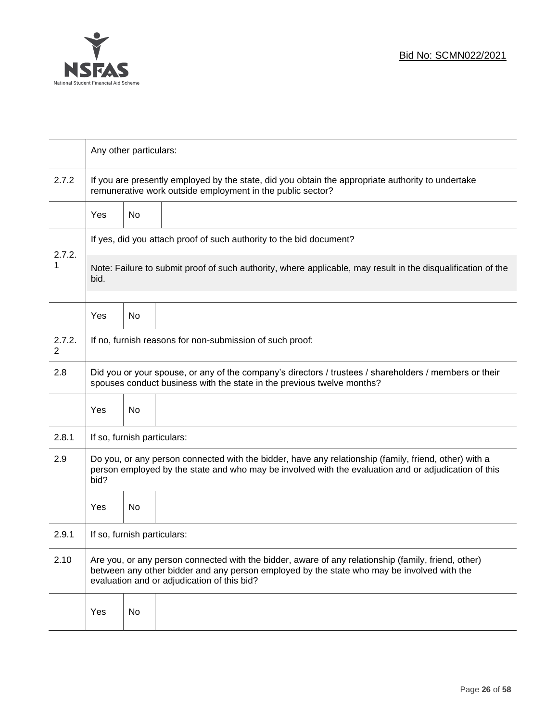

|             | Any other particulars:                                                                                                                                                                                                                           |                                                                                                                                                                 |  |  |  |  |
|-------------|--------------------------------------------------------------------------------------------------------------------------------------------------------------------------------------------------------------------------------------------------|-----------------------------------------------------------------------------------------------------------------------------------------------------------------|--|--|--|--|
| 2.7.2       |                                                                                                                                                                                                                                                  | If you are presently employed by the state, did you obtain the appropriate authority to undertake<br>remunerative work outside employment in the public sector? |  |  |  |  |
|             | <b>Yes</b>                                                                                                                                                                                                                                       | No                                                                                                                                                              |  |  |  |  |
|             | If yes, did you attach proof of such authority to the bid document?                                                                                                                                                                              |                                                                                                                                                                 |  |  |  |  |
| 2.7.2.<br>1 | Note: Failure to submit proof of such authority, where applicable, may result in the disqualification of the<br>bid.                                                                                                                             |                                                                                                                                                                 |  |  |  |  |
|             | Yes                                                                                                                                                                                                                                              | No                                                                                                                                                              |  |  |  |  |
| 2.7.2.<br>2 | If no, furnish reasons for non-submission of such proof:                                                                                                                                                                                         |                                                                                                                                                                 |  |  |  |  |
| 2.8         | Did you or your spouse, or any of the company's directors / trustees / shareholders / members or their<br>spouses conduct business with the state in the previous twelve months?                                                                 |                                                                                                                                                                 |  |  |  |  |
|             | Yes                                                                                                                                                                                                                                              | No                                                                                                                                                              |  |  |  |  |
| 2.8.1       | If so, furnish particulars:                                                                                                                                                                                                                      |                                                                                                                                                                 |  |  |  |  |
| 2.9         | Do you, or any person connected with the bidder, have any relationship (family, friend, other) with a<br>person employed by the state and who may be involved with the evaluation and or adjudication of this<br>bid?                            |                                                                                                                                                                 |  |  |  |  |
|             | Yes                                                                                                                                                                                                                                              | No                                                                                                                                                              |  |  |  |  |
| 2.9.1       | If so, furnish particulars:                                                                                                                                                                                                                      |                                                                                                                                                                 |  |  |  |  |
| 2.10        | Are you, or any person connected with the bidder, aware of any relationship (family, friend, other)<br>between any other bidder and any person employed by the state who may be involved with the<br>evaluation and or adjudication of this bid? |                                                                                                                                                                 |  |  |  |  |
|             | Yes                                                                                                                                                                                                                                              | No                                                                                                                                                              |  |  |  |  |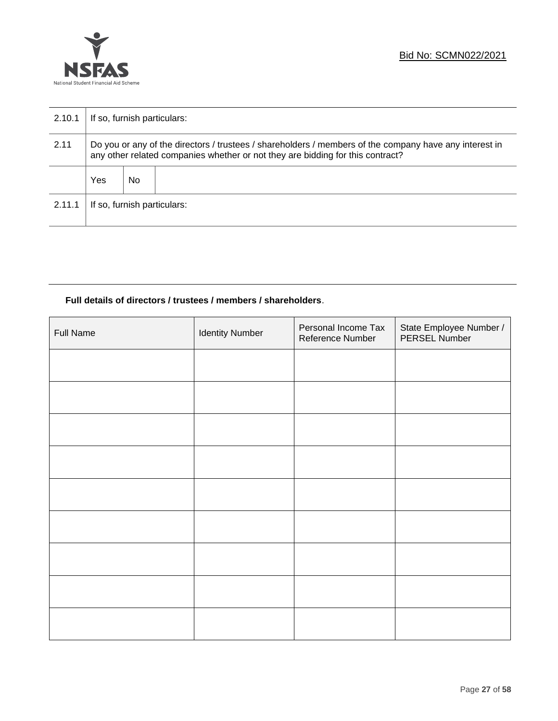

| 2.10.1 | If so, furnish particulars:                                                                                                                                                              |     |  |  |  |
|--------|------------------------------------------------------------------------------------------------------------------------------------------------------------------------------------------|-----|--|--|--|
| 2.11   | Do you or any of the directors / trustees / shareholders / members of the company have any interest in<br>any other related companies whether or not they are bidding for this contract? |     |  |  |  |
|        | Yes                                                                                                                                                                                      | No. |  |  |  |
| 2.11.1 | If so, furnish particulars:                                                                                                                                                              |     |  |  |  |

## **Full details of directors / trustees / members / shareholders**.

| <b>Full Name</b> | <b>Identity Number</b> | Personal Income Tax<br>Reference Number | State Employee Number /<br>PERSEL Number |
|------------------|------------------------|-----------------------------------------|------------------------------------------|
|                  |                        |                                         |                                          |
|                  |                        |                                         |                                          |
|                  |                        |                                         |                                          |
|                  |                        |                                         |                                          |
|                  |                        |                                         |                                          |
|                  |                        |                                         |                                          |
|                  |                        |                                         |                                          |
|                  |                        |                                         |                                          |
|                  |                        |                                         |                                          |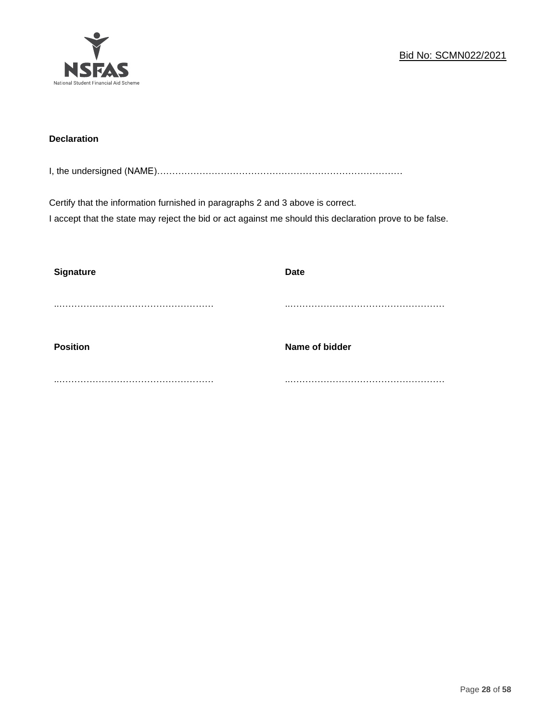

## **Declaration**

I, the undersigned (NAME)………………………………………………………………………

Certify that the information furnished in paragraphs 2 and 3 above is correct. I accept that the state may reject the bid or act against me should this declaration prove to be false.

| <b>Signature</b> | <b>Date</b>    |
|------------------|----------------|
|                  |                |
| <b>Position</b>  | Name of bidder |
|                  |                |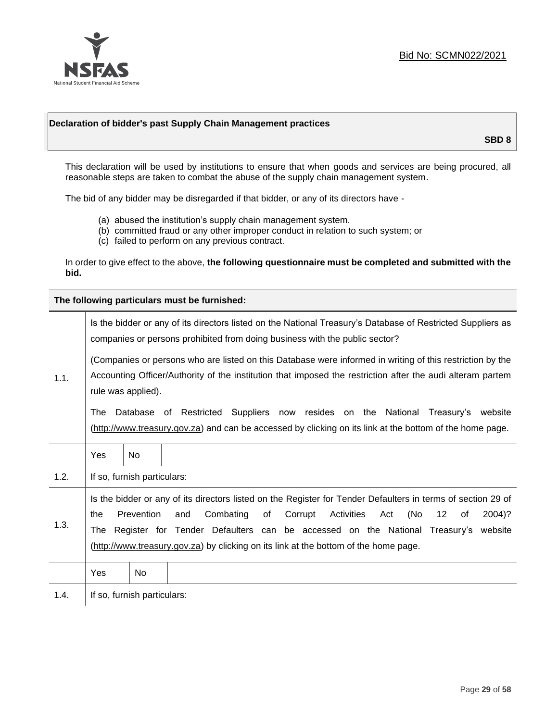

## **Declaration of bidder's past Supply Chain Management practices**

**SBD 8**

This declaration will be used by institutions to ensure that when goods and services are being procured, all reasonable steps are taken to combat the abuse of the supply chain management system.

The bid of any bidder may be disregarded if that bidder, or any of its directors have -

- (a) abused the institution's supply chain management system.
- (b) committed fraud or any other improper conduct in relation to such system; or
- (c) failed to perform on any previous contract.

In order to give effect to the above, **the following questionnaire must be completed and submitted with the bid.**

**The following particulars must be furnished:**

| 1.1. | Is the bidder or any of its directors listed on the National Treasury's Database of Restricted Suppliers as<br>companies or persons prohibited from doing business with the public sector?                                                                                                                                                                                                                |                             |                                                                                                                                                                                                |  |  |
|------|-----------------------------------------------------------------------------------------------------------------------------------------------------------------------------------------------------------------------------------------------------------------------------------------------------------------------------------------------------------------------------------------------------------|-----------------------------|------------------------------------------------------------------------------------------------------------------------------------------------------------------------------------------------|--|--|
|      | (Companies or persons who are listed on this Database were informed in writing of this restriction by the<br>Accounting Officer/Authority of the institution that imposed the restriction after the audi alteram partem<br>rule was applied).                                                                                                                                                             |                             |                                                                                                                                                                                                |  |  |
|      | The                                                                                                                                                                                                                                                                                                                                                                                                       |                             | Database of Restricted Suppliers now resides on the National<br>Treasury's website<br>(http://www.treasury.gov.za) and can be accessed by clicking on its link at the bottom of the home page. |  |  |
|      | Yes                                                                                                                                                                                                                                                                                                                                                                                                       | <b>No</b>                   |                                                                                                                                                                                                |  |  |
| 1.2. |                                                                                                                                                                                                                                                                                                                                                                                                           | If so, furnish particulars: |                                                                                                                                                                                                |  |  |
| 1.3. | Is the bidder or any of its directors listed on the Register for Tender Defaulters in terms of section 29 of<br>Prevention<br>Activities<br>(No<br>Combating<br>of<br>Corrupt<br>12<br>2004)?<br>the<br>and<br>Act<br>of<br>The Register for Tender Defaulters can be accessed on the National Treasury's website<br>(http://www.treasury.gov.za) by clicking on its link at the bottom of the home page. |                             |                                                                                                                                                                                                |  |  |
|      | Yes                                                                                                                                                                                                                                                                                                                                                                                                       | No                          |                                                                                                                                                                                                |  |  |
| 1.4. | If so, furnish particulars:                                                                                                                                                                                                                                                                                                                                                                               |                             |                                                                                                                                                                                                |  |  |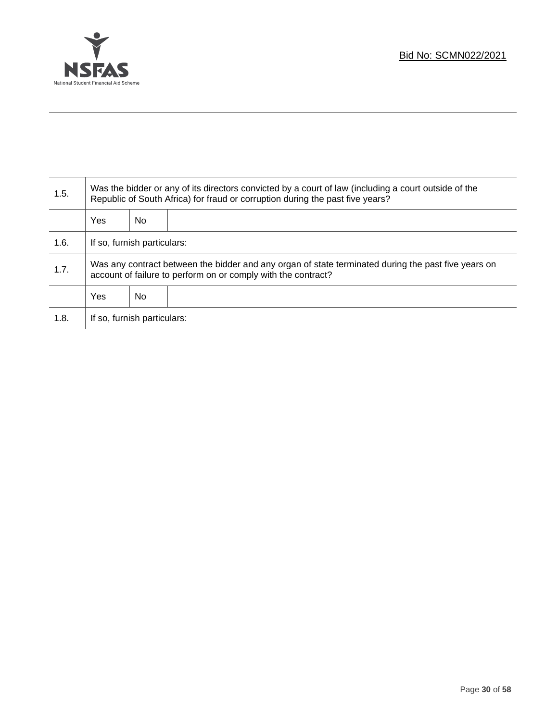

Τ

| 1.5. | Was the bidder or any of its directors convicted by a court of law (including a court outside of the<br>Republic of South Africa) for fraud or corruption during the past five years? |    |  |  |  |
|------|---------------------------------------------------------------------------------------------------------------------------------------------------------------------------------------|----|--|--|--|
|      | Yes                                                                                                                                                                                   | No |  |  |  |
| 1.6. | If so, furnish particulars:                                                                                                                                                           |    |  |  |  |
| 1.7. | Was any contract between the bidder and any organ of state terminated during the past five years on<br>account of failure to perform on or comply with the contract?                  |    |  |  |  |
|      | <b>Yes</b>                                                                                                                                                                            | No |  |  |  |
| 1.8. | If so, furnish particulars:                                                                                                                                                           |    |  |  |  |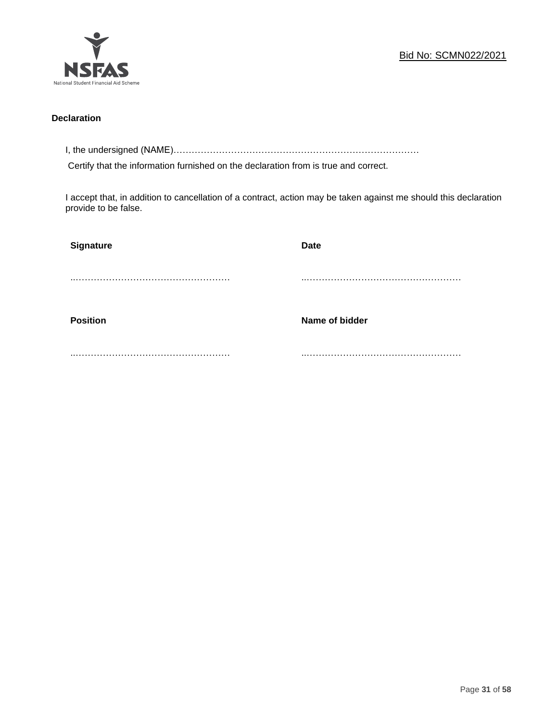

## **Declaration**

I, the undersigned (NAME)………………………………………………………………………

Certify that the information furnished on the declaration from is true and correct.

I accept that, in addition to cancellation of a contract, action may be taken against me should this declaration provide to be false.

| Signature       | <b>Date</b>    |
|-----------------|----------------|
|                 |                |
|                 |                |
| <b>Position</b> | Name of bidder |
|                 |                |
|                 |                |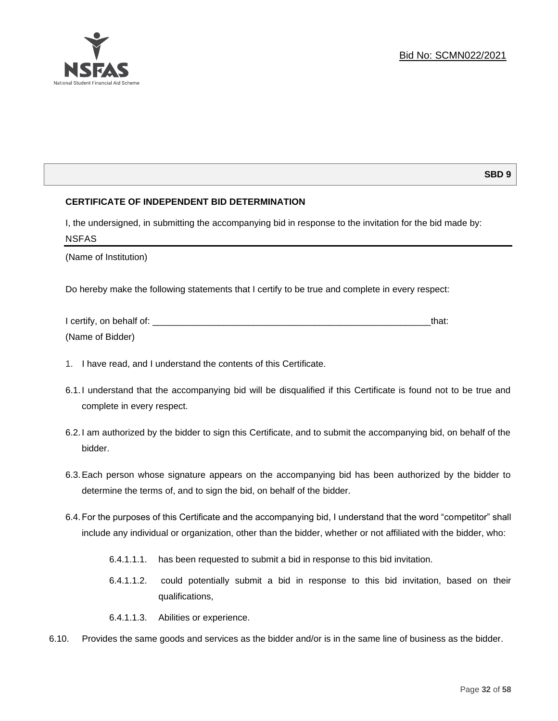

## **SBD 9**

## **CERTIFICATE OF INDEPENDENT BID DETERMINATION**

I, the undersigned, in submitting the accompanying bid in response to the invitation for the bid made by: NSFAS

(Name of Institution)

Do hereby make the following statements that I certify to be true and complete in every respect:

| I certify, on behalf of: |  |
|--------------------------|--|
| (Name of Bidder)         |  |

- 1. I have read, and I understand the contents of this Certificate.
- 6.1.I understand that the accompanying bid will be disqualified if this Certificate is found not to be true and complete in every respect.
- 6.2.I am authorized by the bidder to sign this Certificate, and to submit the accompanying bid, on behalf of the bidder.
- 6.3.Each person whose signature appears on the accompanying bid has been authorized by the bidder to determine the terms of, and to sign the bid, on behalf of the bidder.
- 6.4.For the purposes of this Certificate and the accompanying bid, I understand that the word "competitor" shall include any individual or organization, other than the bidder, whether or not affiliated with the bidder, who:
	- 6.4.1.1.1. has been requested to submit a bid in response to this bid invitation.
	- 6.4.1.1.2. could potentially submit a bid in response to this bid invitation, based on their qualifications,
	- 6.4.1.1.3. Abilities or experience.
- 6.10. Provides the same goods and services as the bidder and/or is in the same line of business as the bidder.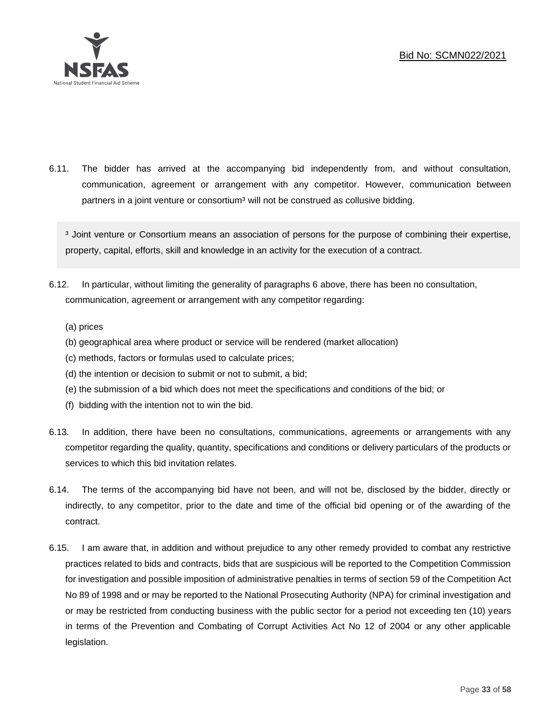

6.11. The bidder has arrived at the accompanying bid independently from, and without consultation, communication, agreement or arrangement with any competitor. However, communication between partners in a joint venture or consortium<sup>3</sup> will not be construed as collusive bidding.

<sup>3</sup> Joint venture or Consortium means an association of persons for the purpose of combining their expertise, property, capital, efforts, skill and knowledge in an activity for the execution of a contract.

- 6.12. In particular, without limiting the generality of paragraphs 6 above, there has been no consultation, communication, agreement or arrangement with any competitor regarding:
	- (a) prices
	- (b) geographical area where product or service will be rendered (market allocation)
	- (c) methods, factors or formulas used to calculate prices;
	- (d) the intention or decision to submit or not to submit, a bid;
	- (e) the submission of a bid which does not meet the specifications and conditions of the bid; or
	- (f) bidding with the intention not to win the bid.
- 6.13. In addition, there have been no consultations, communications, agreements or arrangements with any competitor regarding the quality, quantity, specifications and conditions or delivery particulars of the products or services to which this bid invitation relates.
- 6.14. The terms of the accompanying bid have not been, and will not be, disclosed by the bidder, directly or indirectly, to any competitor, prior to the date and time of the official bid opening or of the awarding of the contract.
- 6.15. I am aware that, in addition and without prejudice to any other remedy provided to combat any restrictive practices related to bids and contracts, bids that are suspicious will be reported to the Competition Commission for investigation and possible imposition of administrative penalties in terms of section 59 of the Competition Act No 89 of 1998 and or may be reported to the National Prosecuting Authority (NPA) for criminal investigation and or may be restricted from conducting business with the public sector for a period not exceeding ten (10) years in terms of the Prevention and Combating of Corrupt Activities Act No 12 of 2004 or any other applicable legislation.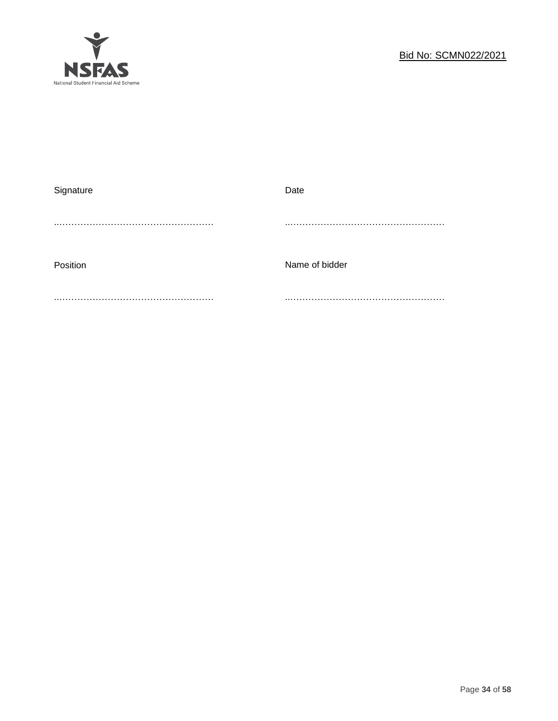

| Signature | Date           |
|-----------|----------------|
|           |                |
|           |                |
|           |                |
| Position  | Name of bidder |
|           |                |
|           |                |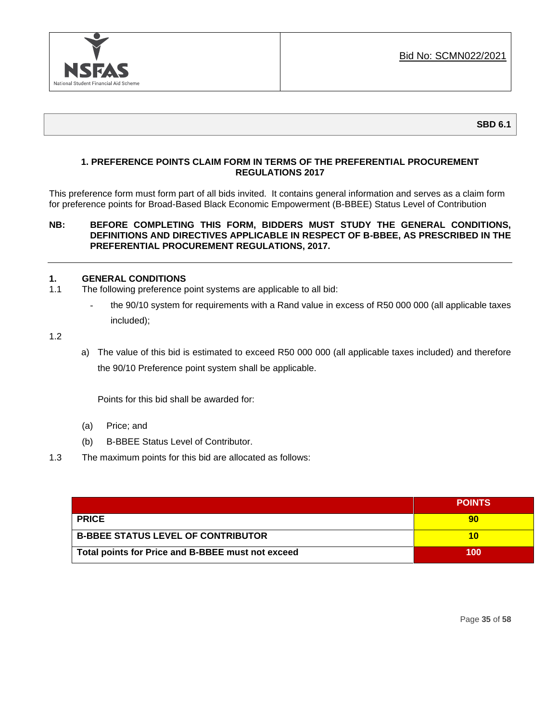

## **1. PREFERENCE POINTS CLAIM FORM IN TERMS OF THE PREFERENTIAL PROCUREMENT REGULATIONS 2017**

This preference form must form part of all bids invited. It contains general information and serves as a claim form for preference points for Broad-Based Black Economic Empowerment (B-BBEE) Status Level of Contribution

## **NB: BEFORE COMPLETING THIS FORM, BIDDERS MUST STUDY THE GENERAL CONDITIONS, DEFINITIONS AND DIRECTIVES APPLICABLE IN RESPECT OF B-BBEE, AS PRESCRIBED IN THE PREFERENTIAL PROCUREMENT REGULATIONS, 2017.**

## **1. GENERAL CONDITIONS**

- 1.1 The following preference point systems are applicable to all bid:
	- the 90/10 system for requirements with a Rand value in excess of R50 000 000 (all applicable taxes included);

1.2

a) The value of this bid is estimated to exceed R50 000 000 (all applicable taxes included) and therefore the 90/10 Preference point system shall be applicable.

Points for this bid shall be awarded for:

- (a) Price; and
- (b) B-BBEE Status Level of Contributor.
- 1.3 The maximum points for this bid are allocated as follows:

|                                                   | <b>POINTS</b> |
|---------------------------------------------------|---------------|
| <b>PRICE</b>                                      | 90            |
| <b>B-BBEE STATUS LEVEL OF CONTRIBUTOR</b>         | 10            |
| Total points for Price and B-BBEE must not exceed | 100           |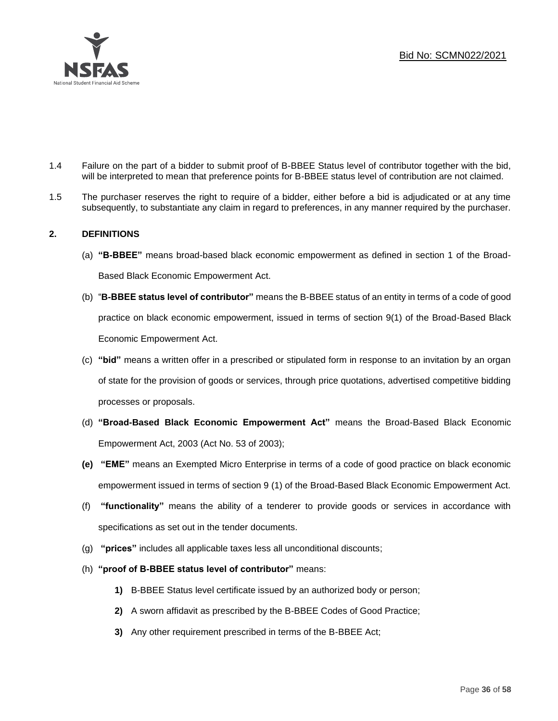

- 1.4 Failure on the part of a bidder to submit proof of B-BBEE Status level of contributor together with the bid, will be interpreted to mean that preference points for B-BBEE status level of contribution are not claimed.
- 1.5 The purchaser reserves the right to require of a bidder, either before a bid is adjudicated or at any time subsequently, to substantiate any claim in regard to preferences, in any manner required by the purchaser.

## **2. DEFINITIONS**

- (a) **"B-BBEE"** means broad-based black economic empowerment as defined in section 1 of the Broad-Based Black Economic Empowerment Act.
- (b) "**B-BBEE status level of contributor"** means the B-BBEE status of an entity in terms of a code of good practice on black economic empowerment, issued in terms of section 9(1) of the Broad-Based Black Economic Empowerment Act.
- (c) **"bid"** means a written offer in a prescribed or stipulated form in response to an invitation by an organ of state for the provision of goods or services, through price quotations, advertised competitive bidding processes or proposals.
- (d) **"Broad-Based Black Economic Empowerment Act"** means the Broad-Based Black Economic Empowerment Act, 2003 (Act No. 53 of 2003);
- **(e) "EME"** means an Exempted Micro Enterprise in terms of a code of good practice on black economic empowerment issued in terms of section 9 (1) of the Broad-Based Black Economic Empowerment Act.
- (f) **"functionality"** means the ability of a tenderer to provide goods or services in accordance with specifications as set out in the tender documents.
- (g) **"prices"** includes all applicable taxes less all unconditional discounts;
- (h) **"proof of B-BBEE status level of contributor"** means:
	- **1)** B-BBEE Status level certificate issued by an authorized body or person;
	- **2)** A sworn affidavit as prescribed by the B-BBEE Codes of Good Practice;
	- **3)** Any other requirement prescribed in terms of the B-BBEE Act;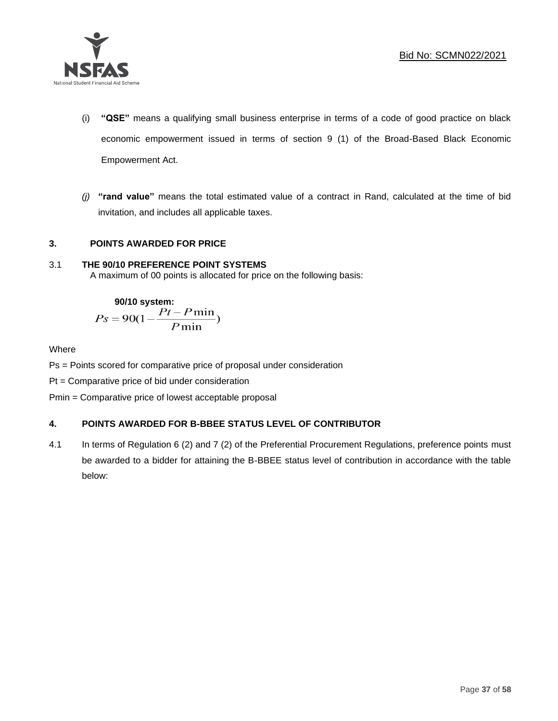

- (i) **"QSE"** means a qualifying small business enterprise in terms of a code of good practice on black economic empowerment issued in terms of section 9 (1) of the Broad-Based Black Economic Empowerment Act.
- *(j)* **"rand value"** means the total estimated value of a contract in Rand, calculated at the time of bid invitation, and includes all applicable taxes.

## **3. POINTS AWARDED FOR PRICE**

## 3.1 **THE 90/10 PREFERENCE POINT SYSTEMS**

A maximum of 00 points is allocated for price on the following basis:

90/10 system:  

$$
Ps = 90(1 - \frac{Pt - P \min}{P \min})
$$

## Where

Ps = Points scored for comparative price of proposal under consideration

Pt = Comparative price of bid under consideration

Pmin = Comparative price of lowest acceptable proposal

## **4. POINTS AWARDED FOR B-BBEE STATUS LEVEL OF CONTRIBUTOR**

4.1 In terms of Regulation 6 (2) and 7 (2) of the Preferential Procurement Regulations, preference points must be awarded to a bidder for attaining the B-BBEE status level of contribution in accordance with the table below: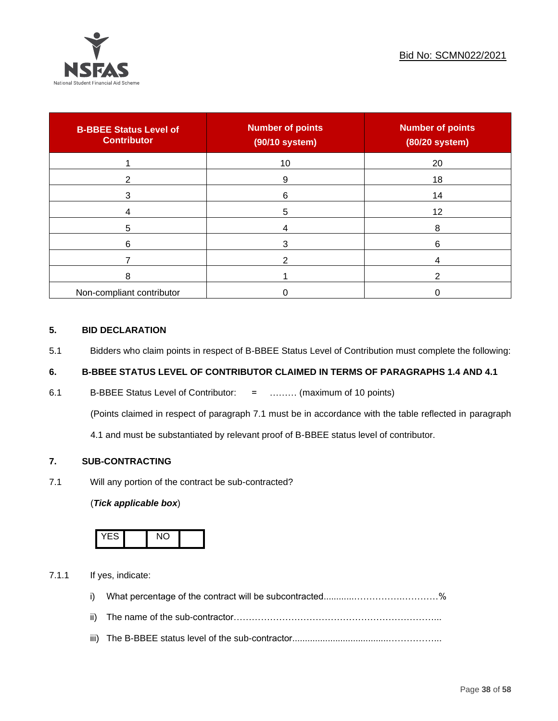

| <b>B-BBEE Status Level of</b><br><b>Contributor</b> | <b>Number of points</b><br>(90/10 system) | <b>Number of points</b><br>(80/20 system) |
|-----------------------------------------------------|-------------------------------------------|-------------------------------------------|
|                                                     | 10                                        | 20                                        |
| 2                                                   | 9                                         | 18                                        |
| 3                                                   | 6                                         | 14                                        |
|                                                     | 5                                         | 12                                        |
| 5                                                   |                                           | 8                                         |
| 6                                                   |                                           | 6                                         |
|                                                     |                                           |                                           |
| 8                                                   |                                           | ◠                                         |
| Non-compliant contributor                           |                                           |                                           |

## **5. BID DECLARATION**

5.1 Bidders who claim points in respect of B-BBEE Status Level of Contribution must complete the following:

## **6. B-BBEE STATUS LEVEL OF CONTRIBUTOR CLAIMED IN TERMS OF PARAGRAPHS 1.4 AND 4.1**

6.1 B-BBEE Status Level of Contributor: = ……… (maximum of 10 points)

(Points claimed in respect of paragraph 7.1 must be in accordance with the table reflected in paragraph

4.1 and must be substantiated by relevant proof of B-BBEE status level of contributor.

## **7. SUB-CONTRACTING**

7.1 Will any portion of the contract be sub-contracted?

## (*Tick applicable box*)



7.1.1 If yes, indicate:

- i) What percentage of the contract will be subcontracted............…………….…………%
- ii) The name of the sub-contractor…………………………………………………………...
- iii) The B-BBEE status level of the sub-contractor......................................……………...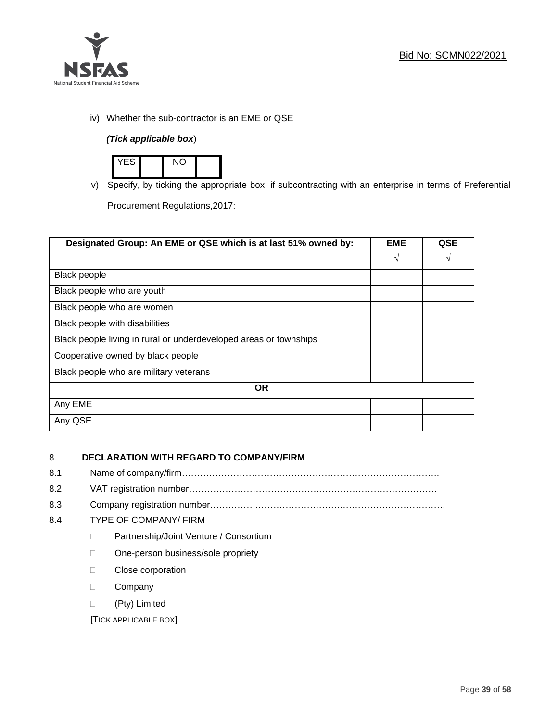

iv) Whether the sub-contractor is an EME or QSE

## *(Tick applicable box*)



v) Specify, by ticking the appropriate box, if subcontracting with an enterprise in terms of Preferential

Procurement Regulations,2017:

| Designated Group: An EME or QSE which is at last 51% owned by:    | <b>EME</b> | <b>QSE</b> |
|-------------------------------------------------------------------|------------|------------|
|                                                                   | $\sqrt{ }$ | V          |
| <b>Black people</b>                                               |            |            |
| Black people who are youth                                        |            |            |
| Black people who are women                                        |            |            |
| Black people with disabilities                                    |            |            |
| Black people living in rural or underdeveloped areas or townships |            |            |
| Cooperative owned by black people                                 |            |            |
| Black people who are military veterans                            |            |            |
| <b>OR</b>                                                         |            |            |
| Any EME                                                           |            |            |
| Any QSE                                                           |            |            |

## 8. **DECLARATION WITH REGARD TO COMPANY/FIRM**

- 8.1 Name of company/firm………………………………………………………………………….
- 8.2 VAT registration number…………………………………….…………………………………
- 8.3 Company registration number…………….……………………….…………………………….

## 8.4 TYPE OF COMPANY/ FIRM

- D Partnership/Joint Venture / Consortium
- □ One-person business/sole propriety
- D Close corporation
- D Company
- (Pty) Limited

[TICK APPLICABLE BOX]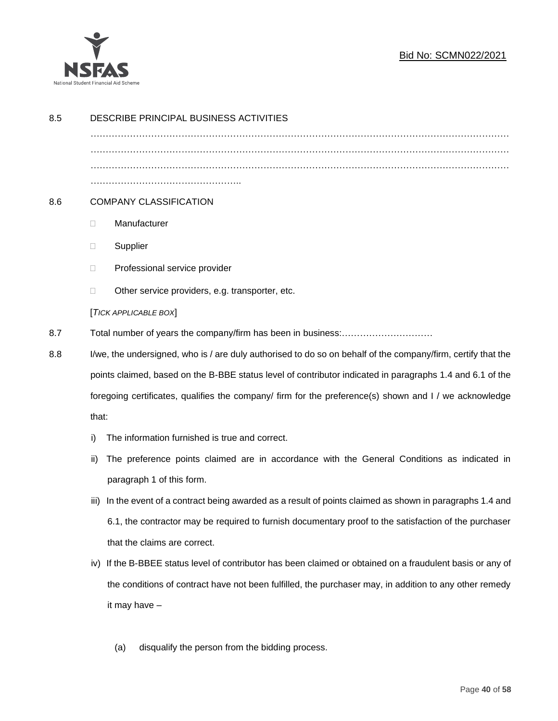

## Bid No: SCMN022/2021

| 8.5 | DESCRIBE PRINCIPAL BUSINESS ACTIVITIES                                                                        |  |
|-----|---------------------------------------------------------------------------------------------------------------|--|
|     |                                                                                                               |  |
|     |                                                                                                               |  |
|     |                                                                                                               |  |
| 8.6 | <b>COMPANY CLASSIFICATION</b>                                                                                 |  |
|     | Manufacturer<br>$\Box$                                                                                        |  |
|     | Supplier<br>$\Box$                                                                                            |  |
|     | Professional service provider<br>$\Box$                                                                       |  |
|     | Other service providers, e.g. transporter, etc.<br>$\Box$                                                     |  |
|     | [TICK APPLICABLE BOX]                                                                                         |  |
| 8.7 |                                                                                                               |  |
| 8.8 | I/we, the undersigned, who is / are duly authorised to do so on behalf of the company/firm, certify that the  |  |
|     | points claimed, based on the B-BBE status level of contributor indicated in paragraphs 1.4 and 6.1 of the     |  |
|     | foregoing certificates, qualifies the company/ firm for the preference(s) shown and I / we acknowledge        |  |
|     | that:                                                                                                         |  |
|     | The information furnished is true and correct.<br>i)                                                          |  |
|     | The preference points claimed are in accordance with the General Conditions as indicated in<br>ii)            |  |
|     | paragraph 1 of this form.                                                                                     |  |
|     | In the event of a contract being awarded as a result of points claimed as shown in paragraphs 1.4 and<br>iii) |  |
|     | 6.1, the contractor may be required to furnish documentary proof to the satisfaction of the purchaser         |  |
|     | that the claims are correct.                                                                                  |  |
|     | iv) If the B-BBEE status level of contributor has been claimed or obtained on a fraudulent basis or any of    |  |
|     | the conditions of contract have not been fulfilled, the purchaser may, in addition to any other remedy        |  |
|     | it may have -                                                                                                 |  |
|     |                                                                                                               |  |
|     | disqualify the person from the bidding process.<br>(a)                                                        |  |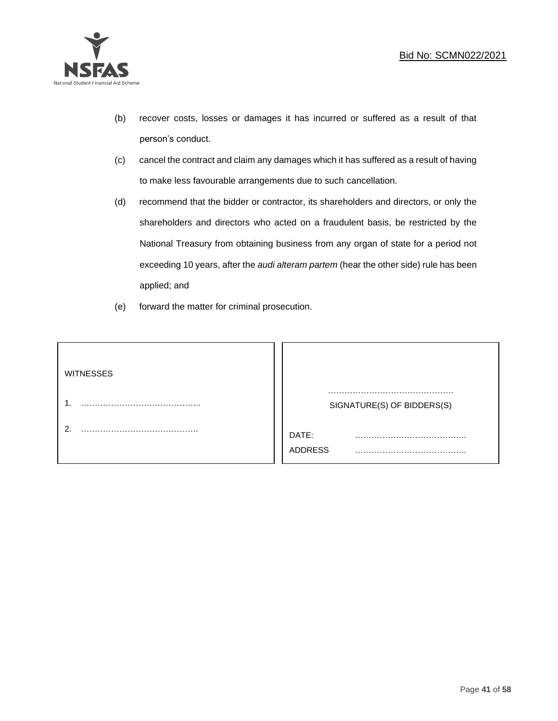

- (b) recover costs, losses or damages it has incurred or suffered as a result of that person's conduct.
- (c) cancel the contract and claim any damages which it has suffered as a result of having to make less favourable arrangements due to such cancellation.
- (d) recommend that the bidder or contractor, its shareholders and directors, or only the shareholders and directors who acted on a fraudulent basis, be restricted by the National Treasury from obtaining business from any organ of state for a period not exceeding 10 years, after the *audi alteram partem* (hear the other side) rule has been applied; and
- (e) forward the matter for criminal prosecution.

| <b>WITNESSES</b> |                            |
|------------------|----------------------------|
|                  | SIGNATURE(S) OF BIDDERS(S) |
|                  | DATE:<br>.<br>ADDRESS      |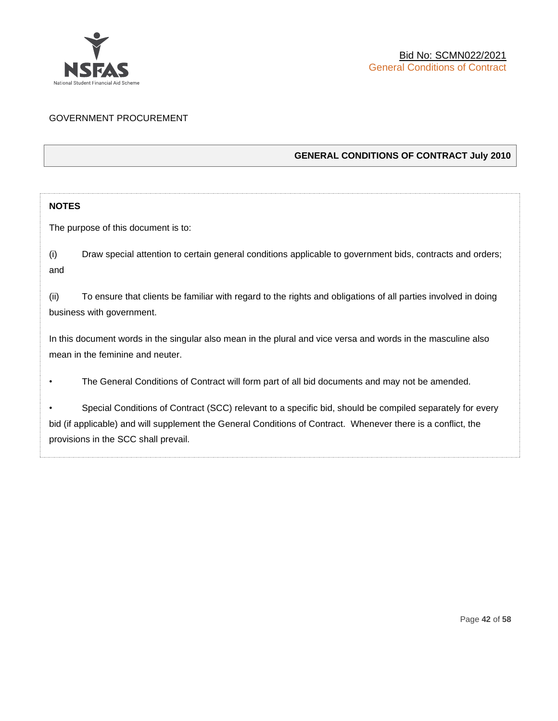

## GOVERNMENT PROCUREMENT

## **GENERAL CONDITIONS OF CONTRACT July 2010**

## **NOTES**

The purpose of this document is to:

(i) Draw special attention to certain general conditions applicable to government bids, contracts and orders; and

(ii) To ensure that clients be familiar with regard to the rights and obligations of all parties involved in doing business with government.

In this document words in the singular also mean in the plural and vice versa and words in the masculine also mean in the feminine and neuter.

• The General Conditions of Contract will form part of all bid documents and may not be amended.

Special Conditions of Contract (SCC) relevant to a specific bid, should be compiled separately for every bid (if applicable) and will supplement the General Conditions of Contract. Whenever there is a conflict, the provisions in the SCC shall prevail.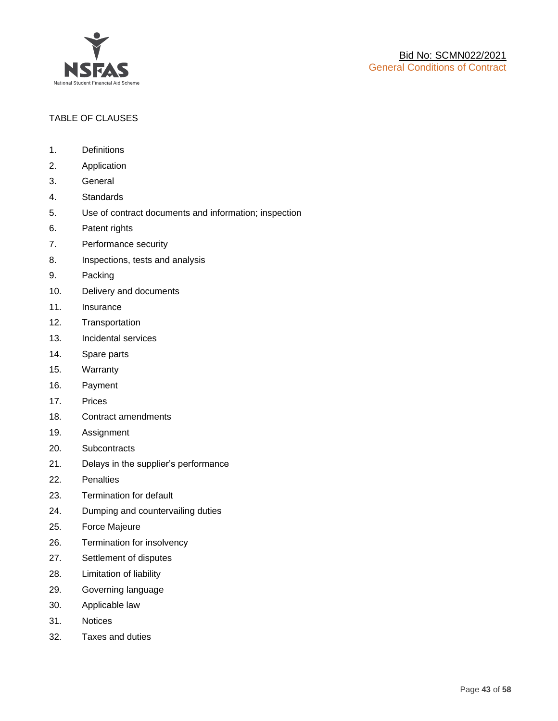

## TABLE OF CLAUSES

- 1. Definitions
- 2. Application
- 3. General
- 4. Standards
- 5. Use of contract documents and information; inspection
- 6. Patent rights
- 7. Performance security
- 8. Inspections, tests and analysis
- 9. Packing
- 10. Delivery and documents
- 11. Insurance
- 12. Transportation
- 13. Incidental services
- 14. Spare parts
- 15. Warranty
- 16. Payment
- 17. Prices
- 18. Contract amendments
- 19. Assignment
- 20. Subcontracts
- 21. Delays in the supplier's performance
- 22. Penalties
- 23. Termination for default
- 24. Dumping and countervailing duties
- 25. Force Majeure
- 26. Termination for insolvency
- 27. Settlement of disputes
- 28. Limitation of liability
- 29. Governing language
- 30. Applicable law
- 31. Notices
- 32. Taxes and duties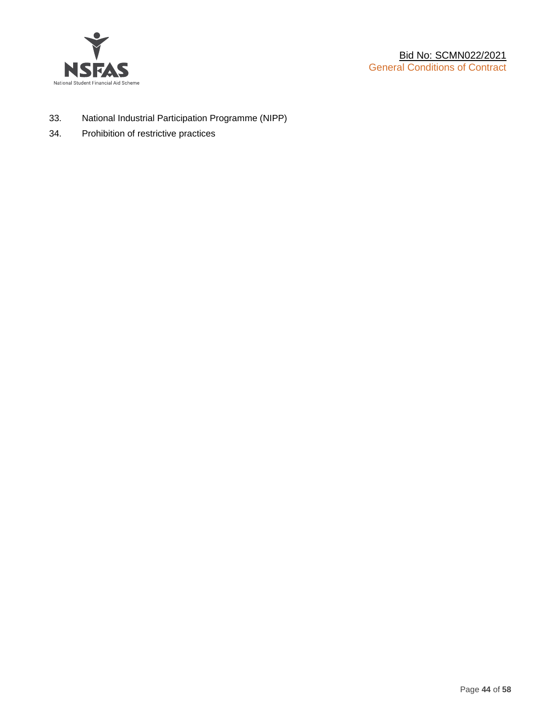

- 33. National Industrial Participation Programme (NIPP)
- 34. Prohibition of restrictive practices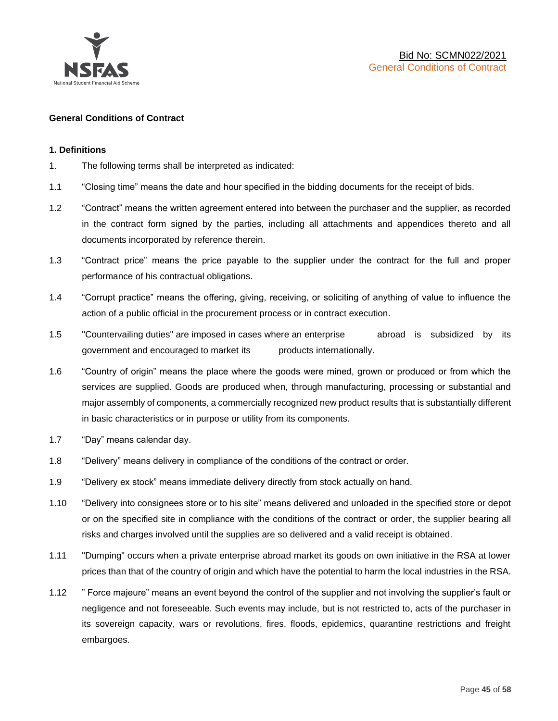

#### **General Conditions of Contract**

#### **1. Definitions**

- 1. The following terms shall be interpreted as indicated:
- 1.1 "Closing time" means the date and hour specified in the bidding documents for the receipt of bids.
- 1.2 "Contract" means the written agreement entered into between the purchaser and the supplier, as recorded in the contract form signed by the parties, including all attachments and appendices thereto and all documents incorporated by reference therein.
- 1.3 "Contract price" means the price payable to the supplier under the contract for the full and proper performance of his contractual obligations.
- 1.4 "Corrupt practice" means the offering, giving, receiving, or soliciting of anything of value to influence the action of a public official in the procurement process or in contract execution.
- 1.5 "Countervailing duties" are imposed in cases where an enterprise abroad is subsidized by its government and encouraged to market its products internationally.
- 1.6 "Country of origin" means the place where the goods were mined, grown or produced or from which the services are supplied. Goods are produced when, through manufacturing, processing or substantial and major assembly of components, a commercially recognized new product results that is substantially different in basic characteristics or in purpose or utility from its components.
- 1.7 "Day" means calendar day.
- 1.8 "Delivery" means delivery in compliance of the conditions of the contract or order.
- 1.9 "Delivery ex stock" means immediate delivery directly from stock actually on hand.
- 1.10 "Delivery into consignees store or to his site" means delivered and unloaded in the specified store or depot or on the specified site in compliance with the conditions of the contract or order, the supplier bearing all risks and charges involved until the supplies are so delivered and a valid receipt is obtained.
- 1.11 "Dumping" occurs when a private enterprise abroad market its goods on own initiative in the RSA at lower prices than that of the country of origin and which have the potential to harm the local industries in the RSA.
- 1.12 " Force majeure" means an event beyond the control of the supplier and not involving the supplier's fault or negligence and not foreseeable. Such events may include, but is not restricted to, acts of the purchaser in its sovereign capacity, wars or revolutions, fires, floods, epidemics, quarantine restrictions and freight embargoes.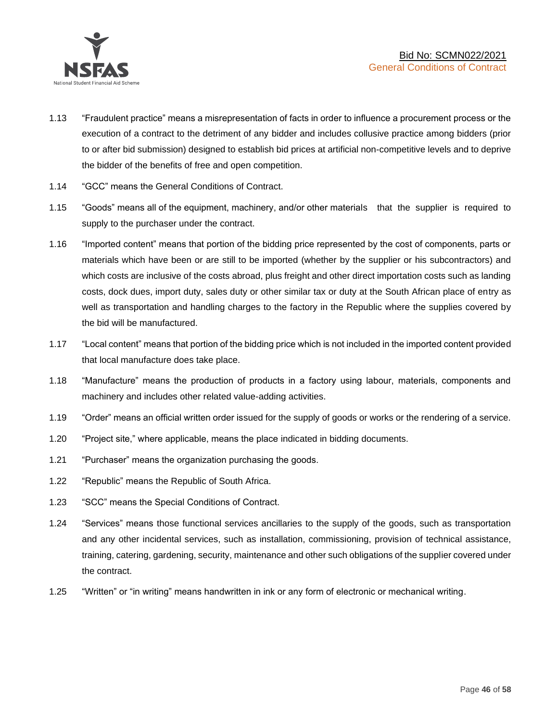

- 1.13 "Fraudulent practice" means a misrepresentation of facts in order to influence a procurement process or the execution of a contract to the detriment of any bidder and includes collusive practice among bidders (prior to or after bid submission) designed to establish bid prices at artificial non-competitive levels and to deprive the bidder of the benefits of free and open competition.
- 1.14 "GCC" means the General Conditions of Contract.
- 1.15 "Goods" means all of the equipment, machinery, and/or other materials that the supplier is required to supply to the purchaser under the contract.
- 1.16 "Imported content" means that portion of the bidding price represented by the cost of components, parts or materials which have been or are still to be imported (whether by the supplier or his subcontractors) and which costs are inclusive of the costs abroad, plus freight and other direct importation costs such as landing costs, dock dues, import duty, sales duty or other similar tax or duty at the South African place of entry as well as transportation and handling charges to the factory in the Republic where the supplies covered by the bid will be manufactured.
- 1.17 "Local content" means that portion of the bidding price which is not included in the imported content provided that local manufacture does take place.
- 1.18 "Manufacture" means the production of products in a factory using labour, materials, components and machinery and includes other related value-adding activities.
- 1.19 "Order" means an official written order issued for the supply of goods or works or the rendering of a service.
- 1.20 "Project site," where applicable, means the place indicated in bidding documents.
- 1.21 "Purchaser" means the organization purchasing the goods.
- 1.22 "Republic" means the Republic of South Africa.
- 1.23 "SCC" means the Special Conditions of Contract.
- 1.24 "Services" means those functional services ancillaries to the supply of the goods, such as transportation and any other incidental services, such as installation, commissioning, provision of technical assistance, training, catering, gardening, security, maintenance and other such obligations of the supplier covered under the contract.
- 1.25 "Written" or "in writing" means handwritten in ink or any form of electronic or mechanical writing.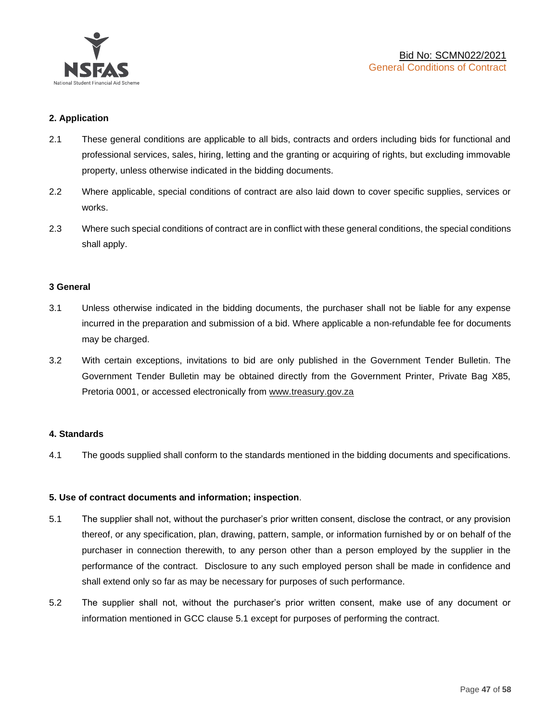

## **2. Application**

- 2.1 These general conditions are applicable to all bids, contracts and orders including bids for functional and professional services, sales, hiring, letting and the granting or acquiring of rights, but excluding immovable property, unless otherwise indicated in the bidding documents.
- 2.2 Where applicable, special conditions of contract are also laid down to cover specific supplies, services or works.
- 2.3 Where such special conditions of contract are in conflict with these general conditions, the special conditions shall apply.

#### **3 General**

- 3.1 Unless otherwise indicated in the bidding documents, the purchaser shall not be liable for any expense incurred in the preparation and submission of a bid. Where applicable a non-refundable fee for documents may be charged.
- 3.2 With certain exceptions, invitations to bid are only published in the Government Tender Bulletin. The Government Tender Bulletin may be obtained directly from the Government Printer, Private Bag X85, Pretoria 0001, or accessed electronically from [www.treasury.gov.za](http://www.treasury.gov.za/)

#### **4. Standards**

4.1 The goods supplied shall conform to the standards mentioned in the bidding documents and specifications.

#### **5. Use of contract documents and information; inspection**.

- 5.1 The supplier shall not, without the purchaser's prior written consent, disclose the contract, or any provision thereof, or any specification, plan, drawing, pattern, sample, or information furnished by or on behalf of the purchaser in connection therewith, to any person other than a person employed by the supplier in the performance of the contract. Disclosure to any such employed person shall be made in confidence and shall extend only so far as may be necessary for purposes of such performance.
- 5.2 The supplier shall not, without the purchaser's prior written consent, make use of any document or information mentioned in GCC clause 5.1 except for purposes of performing the contract.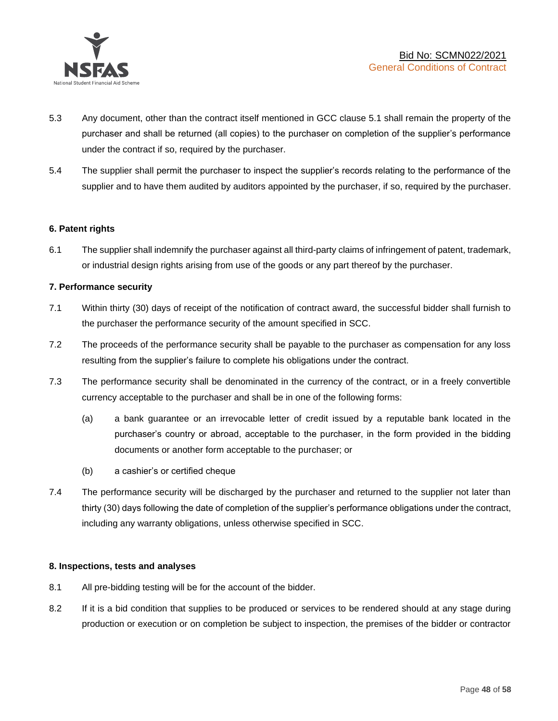

- 5.3 Any document, other than the contract itself mentioned in GCC clause 5.1 shall remain the property of the purchaser and shall be returned (all copies) to the purchaser on completion of the supplier's performance under the contract if so, required by the purchaser.
- 5.4 The supplier shall permit the purchaser to inspect the supplier's records relating to the performance of the supplier and to have them audited by auditors appointed by the purchaser, if so, required by the purchaser.

#### **6. Patent rights**

6.1 The supplier shall indemnify the purchaser against all third-party claims of infringement of patent, trademark, or industrial design rights arising from use of the goods or any part thereof by the purchaser.

## **7. Performance security**

- 7.1 Within thirty (30) days of receipt of the notification of contract award, the successful bidder shall furnish to the purchaser the performance security of the amount specified in SCC.
- 7.2 The proceeds of the performance security shall be payable to the purchaser as compensation for any loss resulting from the supplier's failure to complete his obligations under the contract.
- 7.3 The performance security shall be denominated in the currency of the contract, or in a freely convertible currency acceptable to the purchaser and shall be in one of the following forms:
	- (a) a bank guarantee or an irrevocable letter of credit issued by a reputable bank located in the purchaser's country or abroad, acceptable to the purchaser, in the form provided in the bidding documents or another form acceptable to the purchaser; or
	- (b) a cashier's or certified cheque
- 7.4 The performance security will be discharged by the purchaser and returned to the supplier not later than thirty (30) days following the date of completion of the supplier's performance obligations under the contract, including any warranty obligations, unless otherwise specified in SCC.

#### **8. Inspections, tests and analyses**

- 8.1 All pre-bidding testing will be for the account of the bidder.
- 8.2 If it is a bid condition that supplies to be produced or services to be rendered should at any stage during production or execution or on completion be subject to inspection, the premises of the bidder or contractor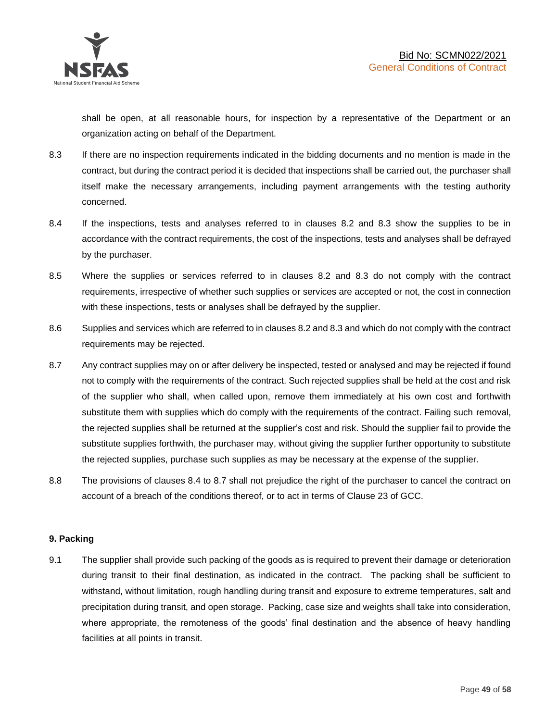shall be open, at all reasonable hours, for inspection by a representative of the Department or an organization acting on behalf of the Department.

- 8.3 If there are no inspection requirements indicated in the bidding documents and no mention is made in the contract, but during the contract period it is decided that inspections shall be carried out, the purchaser shall itself make the necessary arrangements, including payment arrangements with the testing authority concerned.
- 8.4 If the inspections, tests and analyses referred to in clauses 8.2 and 8.3 show the supplies to be in accordance with the contract requirements, the cost of the inspections, tests and analyses shall be defrayed by the purchaser.
- 8.5 Where the supplies or services referred to in clauses 8.2 and 8.3 do not comply with the contract requirements, irrespective of whether such supplies or services are accepted or not, the cost in connection with these inspections, tests or analyses shall be defrayed by the supplier.
- 8.6 Supplies and services which are referred to in clauses 8.2 and 8.3 and which do not comply with the contract requirements may be rejected.
- 8.7 Any contract supplies may on or after delivery be inspected, tested or analysed and may be rejected if found not to comply with the requirements of the contract. Such rejected supplies shall be held at the cost and risk of the supplier who shall, when called upon, remove them immediately at his own cost and forthwith substitute them with supplies which do comply with the requirements of the contract. Failing such removal, the rejected supplies shall be returned at the supplier's cost and risk. Should the supplier fail to provide the substitute supplies forthwith, the purchaser may, without giving the supplier further opportunity to substitute the rejected supplies, purchase such supplies as may be necessary at the expense of the supplier.
- 8.8 The provisions of clauses 8.4 to 8.7 shall not prejudice the right of the purchaser to cancel the contract on account of a breach of the conditions thereof, or to act in terms of Clause 23 of GCC.

## **9. Packing**

9.1 The supplier shall provide such packing of the goods as is required to prevent their damage or deterioration during transit to their final destination, as indicated in the contract. The packing shall be sufficient to withstand, without limitation, rough handling during transit and exposure to extreme temperatures, salt and precipitation during transit, and open storage. Packing, case size and weights shall take into consideration, where appropriate, the remoteness of the goods' final destination and the absence of heavy handling facilities at all points in transit.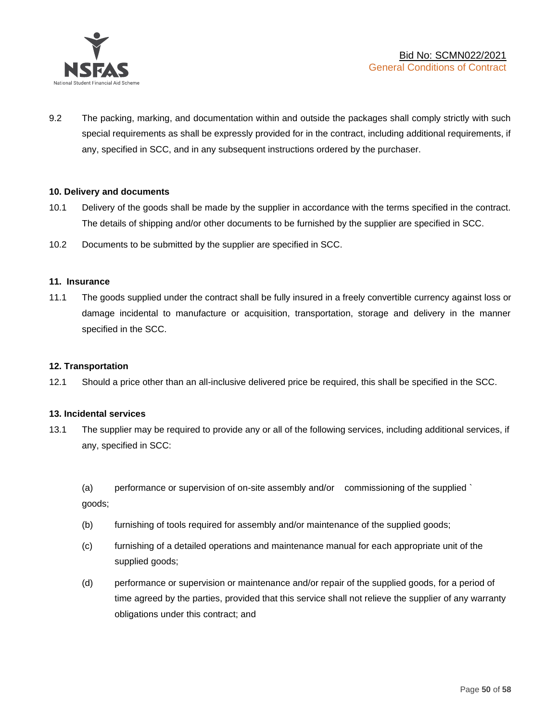

9.2 The packing, marking, and documentation within and outside the packages shall comply strictly with such special requirements as shall be expressly provided for in the contract, including additional requirements, if any, specified in SCC, and in any subsequent instructions ordered by the purchaser.

#### **10. Delivery and documents**

- 10.1 Delivery of the goods shall be made by the supplier in accordance with the terms specified in the contract. The details of shipping and/or other documents to be furnished by the supplier are specified in SCC.
- 10.2 Documents to be submitted by the supplier are specified in SCC.

#### **11. Insurance**

11.1 The goods supplied under the contract shall be fully insured in a freely convertible currency against loss or damage incidental to manufacture or acquisition, transportation, storage and delivery in the manner specified in the SCC.

#### **12. Transportation**

12.1 Should a price other than an all-inclusive delivered price be required, this shall be specified in the SCC.

#### **13. Incidental services**

13.1 The supplier may be required to provide any or all of the following services, including additional services, if any, specified in SCC:

(a) performance or supervision of on-site assembly and/or commissioning of the supplied ` goods;

- (b) furnishing of tools required for assembly and/or maintenance of the supplied goods;
- (c) furnishing of a detailed operations and maintenance manual for each appropriate unit of the supplied goods;
- (d) performance or supervision or maintenance and/or repair of the supplied goods, for a period of time agreed by the parties, provided that this service shall not relieve the supplier of any warranty obligations under this contract; and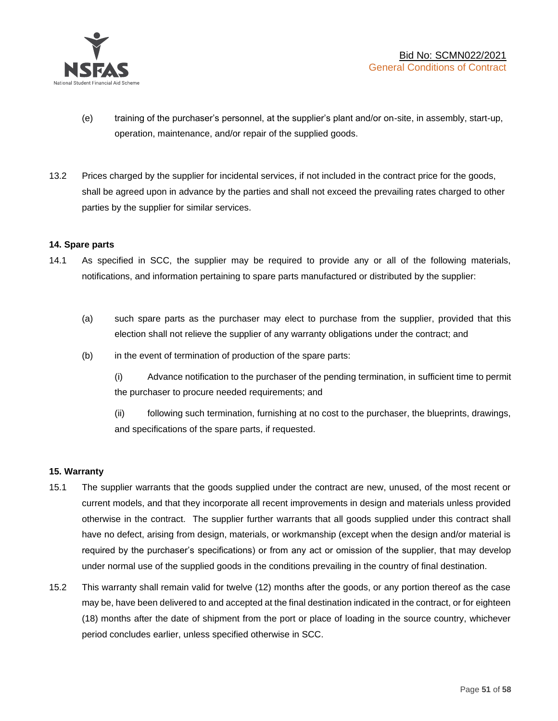

- (e) training of the purchaser's personnel, at the supplier's plant and/or on-site, in assembly, start-up, operation, maintenance, and/or repair of the supplied goods.
- 13.2 Prices charged by the supplier for incidental services, if not included in the contract price for the goods, shall be agreed upon in advance by the parties and shall not exceed the prevailing rates charged to other parties by the supplier for similar services.

## **14. Spare parts**

- 14.1 As specified in SCC, the supplier may be required to provide any or all of the following materials, notifications, and information pertaining to spare parts manufactured or distributed by the supplier:
	- (a) such spare parts as the purchaser may elect to purchase from the supplier, provided that this election shall not relieve the supplier of any warranty obligations under the contract; and
	- (b) in the event of termination of production of the spare parts:

(i) Advance notification to the purchaser of the pending termination, in sufficient time to permit the purchaser to procure needed requirements; and

(ii) following such termination, furnishing at no cost to the purchaser, the blueprints, drawings, and specifications of the spare parts, if requested.

#### **15. Warranty**

- 15.1 The supplier warrants that the goods supplied under the contract are new, unused, of the most recent or current models, and that they incorporate all recent improvements in design and materials unless provided otherwise in the contract. The supplier further warrants that all goods supplied under this contract shall have no defect, arising from design, materials, or workmanship (except when the design and/or material is required by the purchaser's specifications) or from any act or omission of the supplier, that may develop under normal use of the supplied goods in the conditions prevailing in the country of final destination.
- 15.2 This warranty shall remain valid for twelve (12) months after the goods, or any portion thereof as the case may be, have been delivered to and accepted at the final destination indicated in the contract, or for eighteen (18) months after the date of shipment from the port or place of loading in the source country, whichever period concludes earlier, unless specified otherwise in SCC.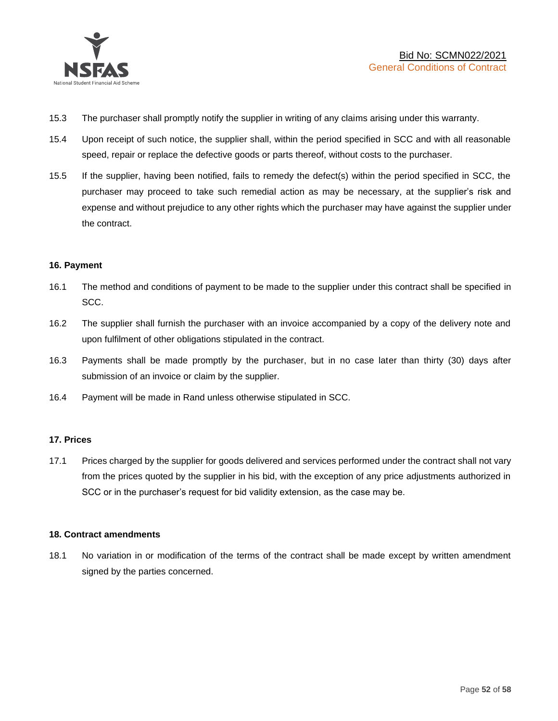

- 15.3 The purchaser shall promptly notify the supplier in writing of any claims arising under this warranty.
- 15.4 Upon receipt of such notice, the supplier shall, within the period specified in SCC and with all reasonable speed, repair or replace the defective goods or parts thereof, without costs to the purchaser.
- 15.5 If the supplier, having been notified, fails to remedy the defect(s) within the period specified in SCC, the purchaser may proceed to take such remedial action as may be necessary, at the supplier's risk and expense and without prejudice to any other rights which the purchaser may have against the supplier under the contract.

## **16. Payment**

- 16.1 The method and conditions of payment to be made to the supplier under this contract shall be specified in SCC.
- 16.2 The supplier shall furnish the purchaser with an invoice accompanied by a copy of the delivery note and upon fulfilment of other obligations stipulated in the contract.
- 16.3 Payments shall be made promptly by the purchaser, but in no case later than thirty (30) days after submission of an invoice or claim by the supplier.
- 16.4 Payment will be made in Rand unless otherwise stipulated in SCC.

#### **17. Prices**

17.1 Prices charged by the supplier for goods delivered and services performed under the contract shall not vary from the prices quoted by the supplier in his bid, with the exception of any price adjustments authorized in SCC or in the purchaser's request for bid validity extension, as the case may be.

#### **18. Contract amendments**

18.1 No variation in or modification of the terms of the contract shall be made except by written amendment signed by the parties concerned.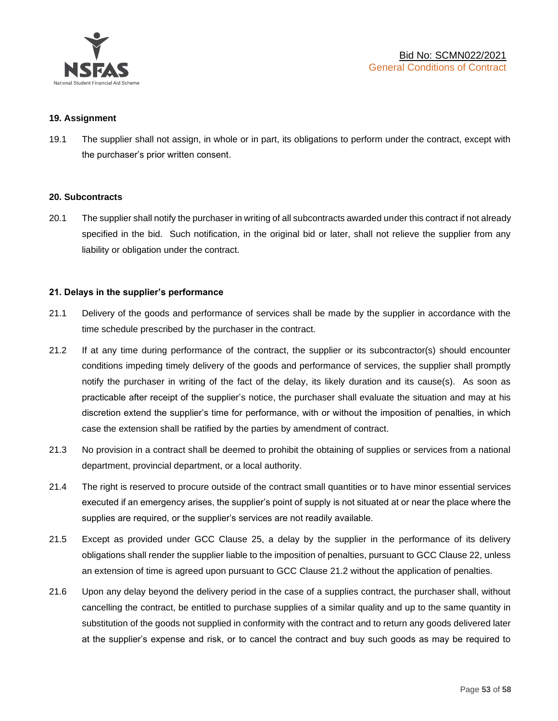

#### **19. Assignment**

19.1 The supplier shall not assign, in whole or in part, its obligations to perform under the contract, except with the purchaser's prior written consent.

#### **20. Subcontracts**

20.1 The supplier shall notify the purchaser in writing of all subcontracts awarded under this contract if not already specified in the bid. Such notification, in the original bid or later, shall not relieve the supplier from any liability or obligation under the contract.

#### **21. Delays in the supplier's performance**

- 21.1 Delivery of the goods and performance of services shall be made by the supplier in accordance with the time schedule prescribed by the purchaser in the contract.
- 21.2 If at any time during performance of the contract, the supplier or its subcontractor(s) should encounter conditions impeding timely delivery of the goods and performance of services, the supplier shall promptly notify the purchaser in writing of the fact of the delay, its likely duration and its cause(s). As soon as practicable after receipt of the supplier's notice, the purchaser shall evaluate the situation and may at his discretion extend the supplier's time for performance, with or without the imposition of penalties, in which case the extension shall be ratified by the parties by amendment of contract.
- 21.3 No provision in a contract shall be deemed to prohibit the obtaining of supplies or services from a national department, provincial department, or a local authority.
- 21.4 The right is reserved to procure outside of the contract small quantities or to have minor essential services executed if an emergency arises, the supplier's point of supply is not situated at or near the place where the supplies are required, or the supplier's services are not readily available.
- 21.5 Except as provided under GCC Clause 25, a delay by the supplier in the performance of its delivery obligations shall render the supplier liable to the imposition of penalties, pursuant to GCC Clause 22, unless an extension of time is agreed upon pursuant to GCC Clause 21.2 without the application of penalties.
- 21.6 Upon any delay beyond the delivery period in the case of a supplies contract, the purchaser shall, without cancelling the contract, be entitled to purchase supplies of a similar quality and up to the same quantity in substitution of the goods not supplied in conformity with the contract and to return any goods delivered later at the supplier's expense and risk, or to cancel the contract and buy such goods as may be required to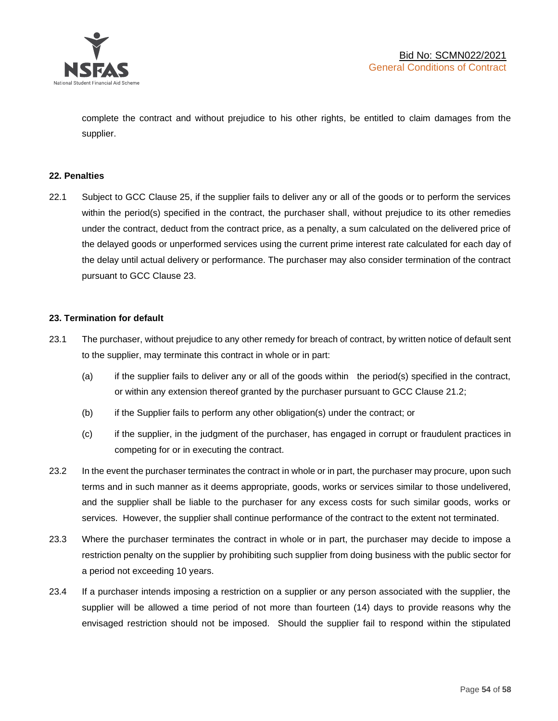

complete the contract and without prejudice to his other rights, be entitled to claim damages from the supplier.

#### **22. Penalties**

22.1 Subject to GCC Clause 25, if the supplier fails to deliver any or all of the goods or to perform the services within the period(s) specified in the contract, the purchaser shall, without prejudice to its other remedies under the contract, deduct from the contract price, as a penalty, a sum calculated on the delivered price of the delayed goods or unperformed services using the current prime interest rate calculated for each day of the delay until actual delivery or performance. The purchaser may also consider termination of the contract pursuant to GCC Clause 23.

## **23. Termination for default**

- 23.1 The purchaser, without prejudice to any other remedy for breach of contract, by written notice of default sent to the supplier, may terminate this contract in whole or in part:
	- (a) if the supplier fails to deliver any or all of the goods within the period(s) specified in the contract, or within any extension thereof granted by the purchaser pursuant to GCC Clause 21.2;
	- (b) if the Supplier fails to perform any other obligation(s) under the contract; or
	- (c) if the supplier, in the judgment of the purchaser, has engaged in corrupt or fraudulent practices in competing for or in executing the contract.
- 23.2 In the event the purchaser terminates the contract in whole or in part, the purchaser may procure, upon such terms and in such manner as it deems appropriate, goods, works or services similar to those undelivered, and the supplier shall be liable to the purchaser for any excess costs for such similar goods, works or services. However, the supplier shall continue performance of the contract to the extent not terminated.
- 23.3 Where the purchaser terminates the contract in whole or in part, the purchaser may decide to impose a restriction penalty on the supplier by prohibiting such supplier from doing business with the public sector for a period not exceeding 10 years.
- 23.4 If a purchaser intends imposing a restriction on a supplier or any person associated with the supplier, the supplier will be allowed a time period of not more than fourteen (14) days to provide reasons why the envisaged restriction should not be imposed. Should the supplier fail to respond within the stipulated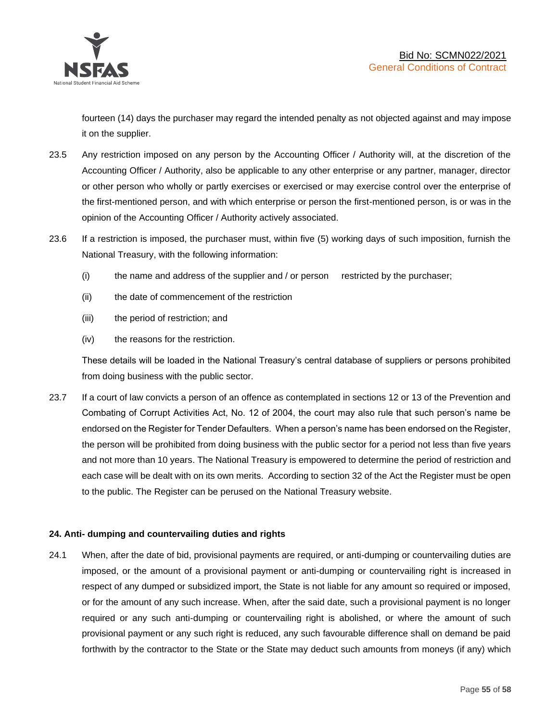

fourteen (14) days the purchaser may regard the intended penalty as not objected against and may impose it on the supplier.

- 23.5 Any restriction imposed on any person by the Accounting Officer / Authority will, at the discretion of the Accounting Officer / Authority, also be applicable to any other enterprise or any partner, manager, director or other person who wholly or partly exercises or exercised or may exercise control over the enterprise of the first-mentioned person, and with which enterprise or person the first-mentioned person, is or was in the opinion of the Accounting Officer / Authority actively associated.
- 23.6 If a restriction is imposed, the purchaser must, within five (5) working days of such imposition, furnish the National Treasury, with the following information:
	- (i) the name and address of the supplier and / or person restricted by the purchaser;
	- (ii) the date of commencement of the restriction
	- (iii) the period of restriction; and
	- (iv) the reasons for the restriction.

These details will be loaded in the National Treasury's central database of suppliers or persons prohibited from doing business with the public sector.

23.7 If a court of law convicts a person of an offence as contemplated in sections 12 or 13 of the Prevention and Combating of Corrupt Activities Act, No. 12 of 2004, the court may also rule that such person's name be endorsed on the Register for Tender Defaulters. When a person's name has been endorsed on the Register, the person will be prohibited from doing business with the public sector for a period not less than five years and not more than 10 years. The National Treasury is empowered to determine the period of restriction and each case will be dealt with on its own merits. According to section 32 of the Act the Register must be open to the public. The Register can be perused on the National Treasury website.

## **24. Anti- dumping and countervailing duties and rights**

24.1 When, after the date of bid, provisional payments are required, or anti-dumping or countervailing duties are imposed, or the amount of a provisional payment or anti-dumping or countervailing right is increased in respect of any dumped or subsidized import, the State is not liable for any amount so required or imposed, or for the amount of any such increase. When, after the said date, such a provisional payment is no longer required or any such anti-dumping or countervailing right is abolished, or where the amount of such provisional payment or any such right is reduced, any such favourable difference shall on demand be paid forthwith by the contractor to the State or the State may deduct such amounts from moneys (if any) which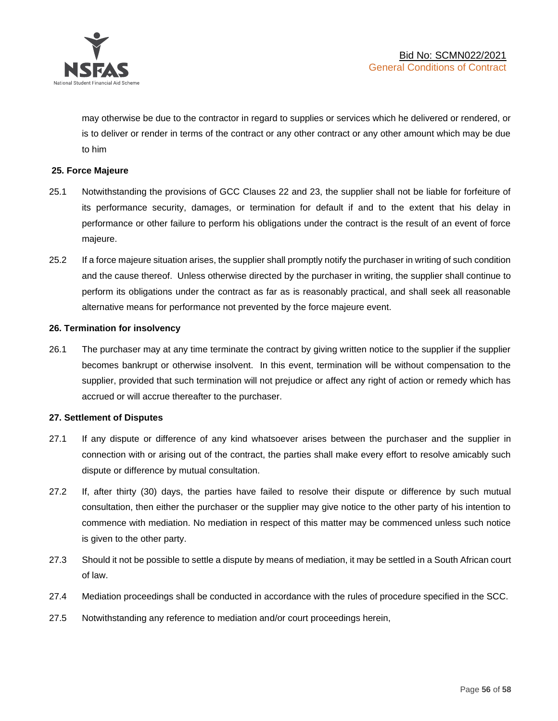

may otherwise be due to the contractor in regard to supplies or services which he delivered or rendered, or is to deliver or render in terms of the contract or any other contract or any other amount which may be due to him

## **25. Force Majeure**

- 25.1 Notwithstanding the provisions of GCC Clauses 22 and 23, the supplier shall not be liable for forfeiture of its performance security, damages, or termination for default if and to the extent that his delay in performance or other failure to perform his obligations under the contract is the result of an event of force majeure.
- 25.2 If a force majeure situation arises, the supplier shall promptly notify the purchaser in writing of such condition and the cause thereof. Unless otherwise directed by the purchaser in writing, the supplier shall continue to perform its obligations under the contract as far as is reasonably practical, and shall seek all reasonable alternative means for performance not prevented by the force majeure event.

#### **26. Termination for insolvency**

26.1 The purchaser may at any time terminate the contract by giving written notice to the supplier if the supplier becomes bankrupt or otherwise insolvent. In this event, termination will be without compensation to the supplier, provided that such termination will not prejudice or affect any right of action or remedy which has accrued or will accrue thereafter to the purchaser.

#### **27. Settlement of Disputes**

- 27.1 If any dispute or difference of any kind whatsoever arises between the purchaser and the supplier in connection with or arising out of the contract, the parties shall make every effort to resolve amicably such dispute or difference by mutual consultation.
- 27.2 If, after thirty (30) days, the parties have failed to resolve their dispute or difference by such mutual consultation, then either the purchaser or the supplier may give notice to the other party of his intention to commence with mediation. No mediation in respect of this matter may be commenced unless such notice is given to the other party.
- 27.3 Should it not be possible to settle a dispute by means of mediation, it may be settled in a South African court of law.
- 27.4 Mediation proceedings shall be conducted in accordance with the rules of procedure specified in the SCC.
- 27.5 Notwithstanding any reference to mediation and/or court proceedings herein,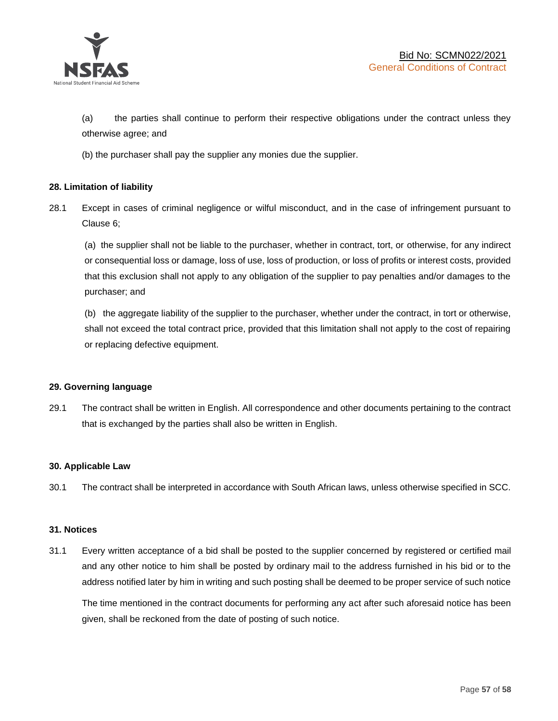

(a) the parties shall continue to perform their respective obligations under the contract unless they otherwise agree; and

(b) the purchaser shall pay the supplier any monies due the supplier.

## **28. Limitation of liability**

28.1 Except in cases of criminal negligence or wilful misconduct, and in the case of infringement pursuant to Clause 6;

(a) the supplier shall not be liable to the purchaser, whether in contract, tort, or otherwise, for any indirect or consequential loss or damage, loss of use, loss of production, or loss of profits or interest costs, provided that this exclusion shall not apply to any obligation of the supplier to pay penalties and/or damages to the purchaser; and

(b) the aggregate liability of the supplier to the purchaser, whether under the contract, in tort or otherwise, shall not exceed the total contract price, provided that this limitation shall not apply to the cost of repairing or replacing defective equipment.

#### **29. Governing language**

29.1 The contract shall be written in English. All correspondence and other documents pertaining to the contract that is exchanged by the parties shall also be written in English.

#### **30. Applicable Law**

30.1 The contract shall be interpreted in accordance with South African laws, unless otherwise specified in SCC.

#### **31. Notices**

31.1 Every written acceptance of a bid shall be posted to the supplier concerned by registered or certified mail and any other notice to him shall be posted by ordinary mail to the address furnished in his bid or to the address notified later by him in writing and such posting shall be deemed to be proper service of such notice

The time mentioned in the contract documents for performing any act after such aforesaid notice has been given, shall be reckoned from the date of posting of such notice.